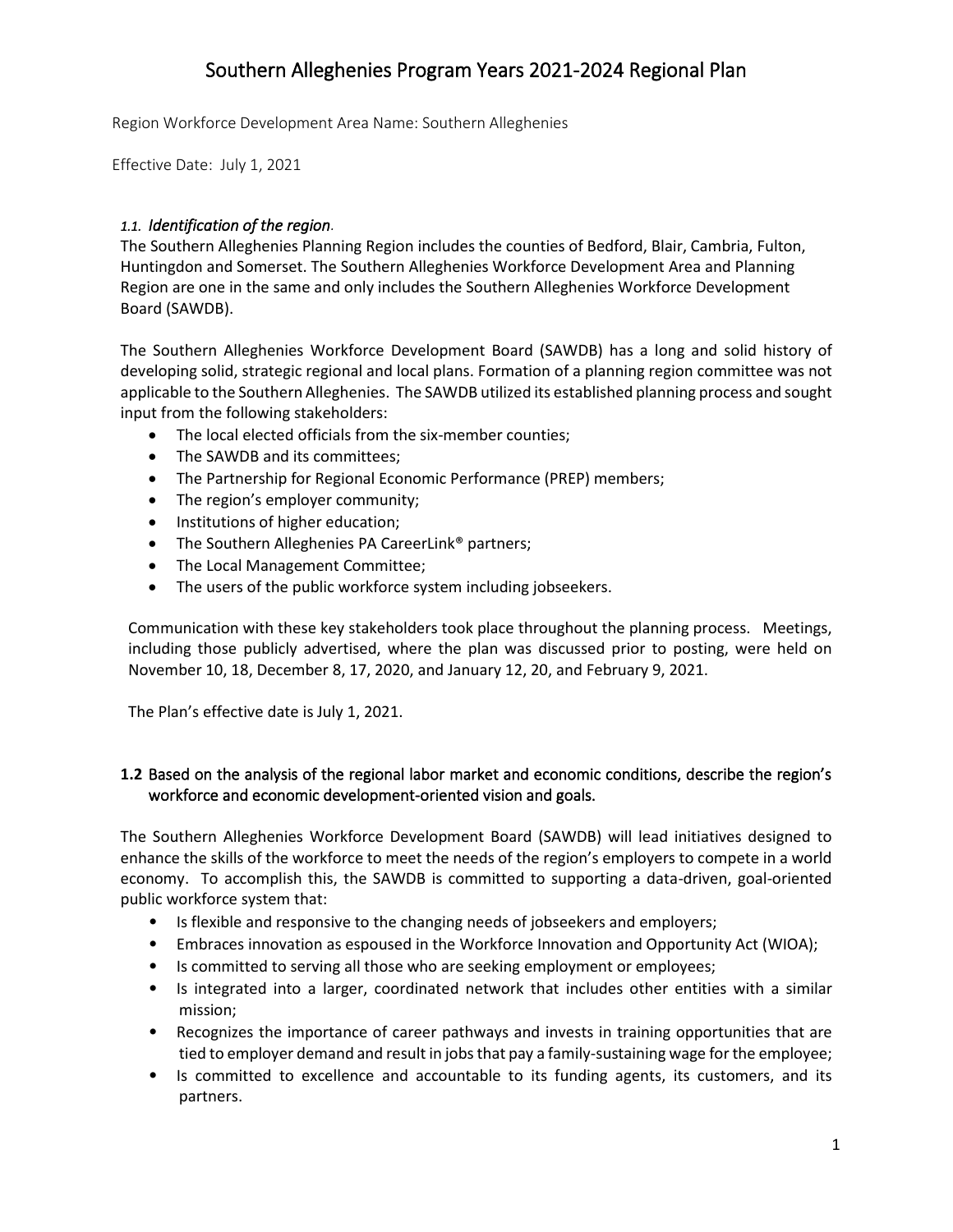Region Workforce Development Area Name: Southern Alleghenies

Effective Date: July 1, 2021

#### *1.1. Identification of the region.*

The Southern Alleghenies Planning Region includes the counties of Bedford, Blair, Cambria, Fulton, Huntingdon and Somerset. The Southern Alleghenies Workforce Development Area and Planning Region are one in the same and only includes the Southern Alleghenies Workforce Development Board (SAWDB).

The Southern Alleghenies Workforce Development Board (SAWDB) has a long and solid history of developing solid, strategic regional and local plans. Formation of a planning region committee was not applicable to the Southern Alleghenies. The SAWDB utilized its established planning process and sought input from the following stakeholders:

- The local elected officials from the six-member counties;
- The SAWDB and its committees:
- The Partnership for Regional Economic Performance (PREP) members;
- The region's employer community;
- Institutions of higher education;
- The Southern Alleghenies PA CareerLink<sup>®</sup> partners;
- The Local Management Committee;
- The users of the public workforce system including jobseekers.

Communication with these key stakeholders took place throughout the planning process. Meetings, including those publicly advertised, where the plan was discussed prior to posting, were held on November 10, 18, December 8, 17, 2020, and January 12, 20, and February 9, 2021.

The Plan's effective date is July 1, 2021.

## **1.2** Based on the analysis of the regional labor market and economic conditions, describe the region's workforce and economic development-oriented vision and goals.

The Southern Alleghenies Workforce Development Board (SAWDB) will lead initiatives designed to enhance the skills of the workforce to meet the needs of the region's employers to compete in a world economy. To accomplish this, the SAWDB is committed to supporting a data-driven, goal-oriented public workforce system that:

- Is flexible and responsive to the changing needs of jobseekers and employers;
- Embraces innovation as espoused in the Workforce Innovation and Opportunity Act (WIOA);
- Is committed to serving all those who are seeking employment or employees;
- Is integrated into a larger, coordinated network that includes other entities with a similar mission;
- Recognizes the importance of career pathways and invests in training opportunities that are tied to employer demand and result in jobs that pay a family-sustaining wage for the employee;
- Is committed to excellence and accountable to its funding agents, its customers, and its partners.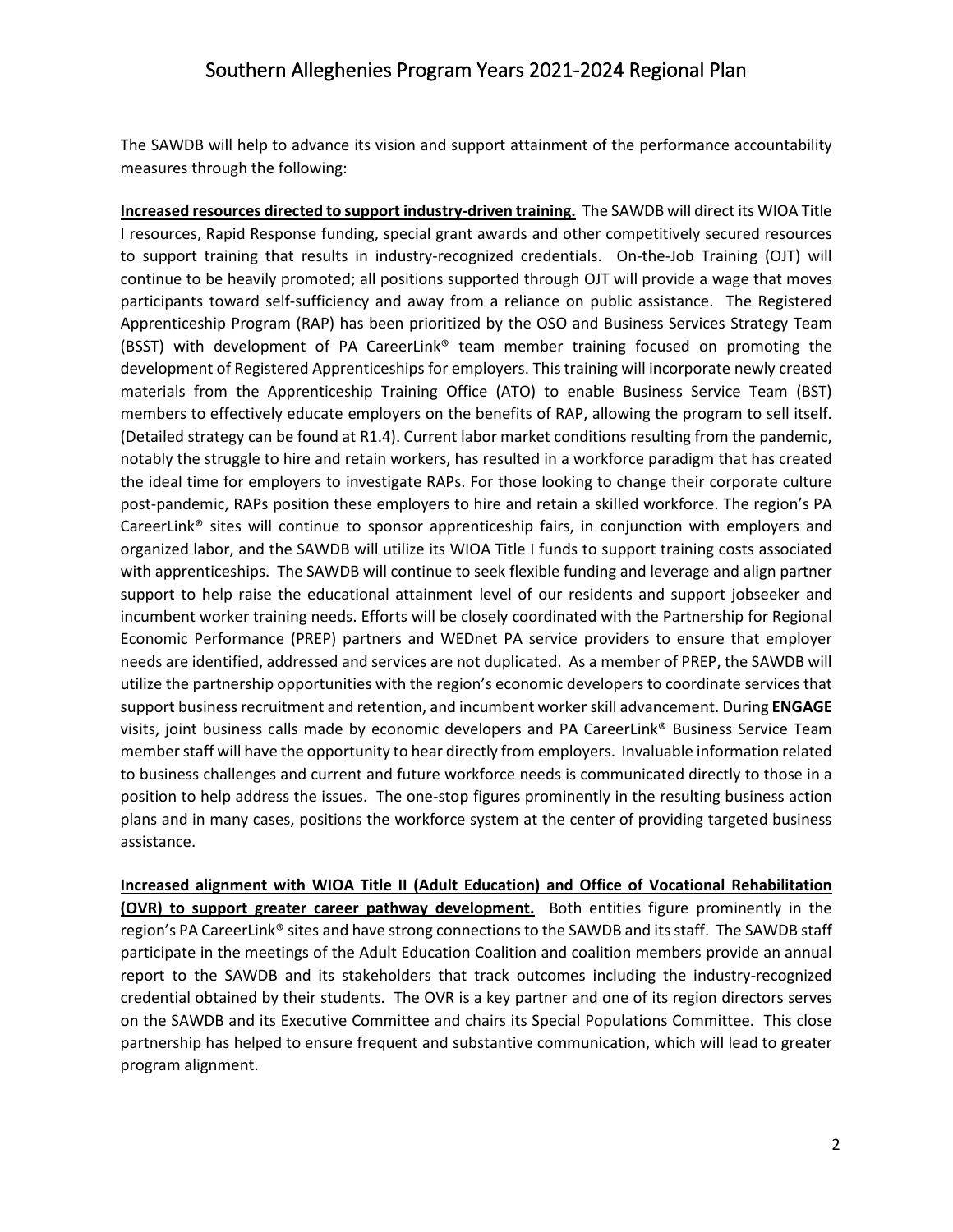The SAWDB will help to advance its vision and support attainment of the performance accountability measures through the following:

**Increased resources directed to support industry-driven training.** The SAWDB will direct its WIOA Title I resources, Rapid Response funding, special grant awards and other competitively secured resources to support training that results in industry-recognized credentials. On-the-Job Training (OJT) will continue to be heavily promoted; all positions supported through OJT will provide a wage that moves participants toward self-sufficiency and away from a reliance on public assistance. The Registered Apprenticeship Program (RAP) has been prioritized by the OSO and Business Services Strategy Team (BSST) with development of PA CareerLink<sup>®</sup> team member training focused on promoting the development of Registered Apprenticeships for employers. This training will incorporate newly created materials from the Apprenticeship Training Office (ATO) to enable Business Service Team (BST) members to effectively educate employers on the benefits of RAP, allowing the program to sell itself. (Detailed strategy can be found at R1.4). Current labor market conditions resulting from the pandemic, notably the struggle to hire and retain workers, has resulted in a workforce paradigm that has created the ideal time for employers to investigate RAPs. For those looking to change their corporate culture post-pandemic, RAPs position these employers to hire and retain a skilled workforce. The region's PA CareerLink® sites will continue to sponsor apprenticeship fairs, in conjunction with employers and organized labor, and the SAWDB will utilize its WIOA Title I funds to support training costs associated with apprenticeships. The SAWDB will continue to seek flexible funding and leverage and align partner support to help raise the educational attainment level of our residents and support jobseeker and incumbent worker training needs. Efforts will be closely coordinated with the Partnership for Regional Economic Performance (PREP) partners and WEDnet PA service providers to ensure that employer needs are identified, addressed and services are not duplicated. As a member of PREP, the SAWDB will utilize the partnership opportunities with the region's economic developers to coordinate services that support business recruitment and retention, and incumbent worker skill advancement. During **ENGAGE** visits, joint business calls made by economic developers and PA CareerLink® Business Service Team member staff will have the opportunity to hear directly from employers. Invaluable information related to business challenges and current and future workforce needs is communicated directly to those in a position to help address the issues. The one-stop figures prominently in the resulting business action plans and in many cases, positions the workforce system at the center of providing targeted business assistance.

**Increased alignment with WIOA Title II (Adult Education) and Office of Vocational Rehabilitation (OVR) to support greater career pathway development.** Both entities figure prominently in the region's PA CareerLink® sites and have strong connections to the SAWDB and itsstaff. The SAWDB staff participate in the meetings of the Adult Education Coalition and coalition members provide an annual report to the SAWDB and its stakeholders that track outcomes including the industry-recognized credential obtained by their students. The OVR is a key partner and one of its region directors serves on the SAWDB and its Executive Committee and chairs its Special Populations Committee. This close partnership has helped to ensure frequent and substantive communication, which will lead to greater program alignment.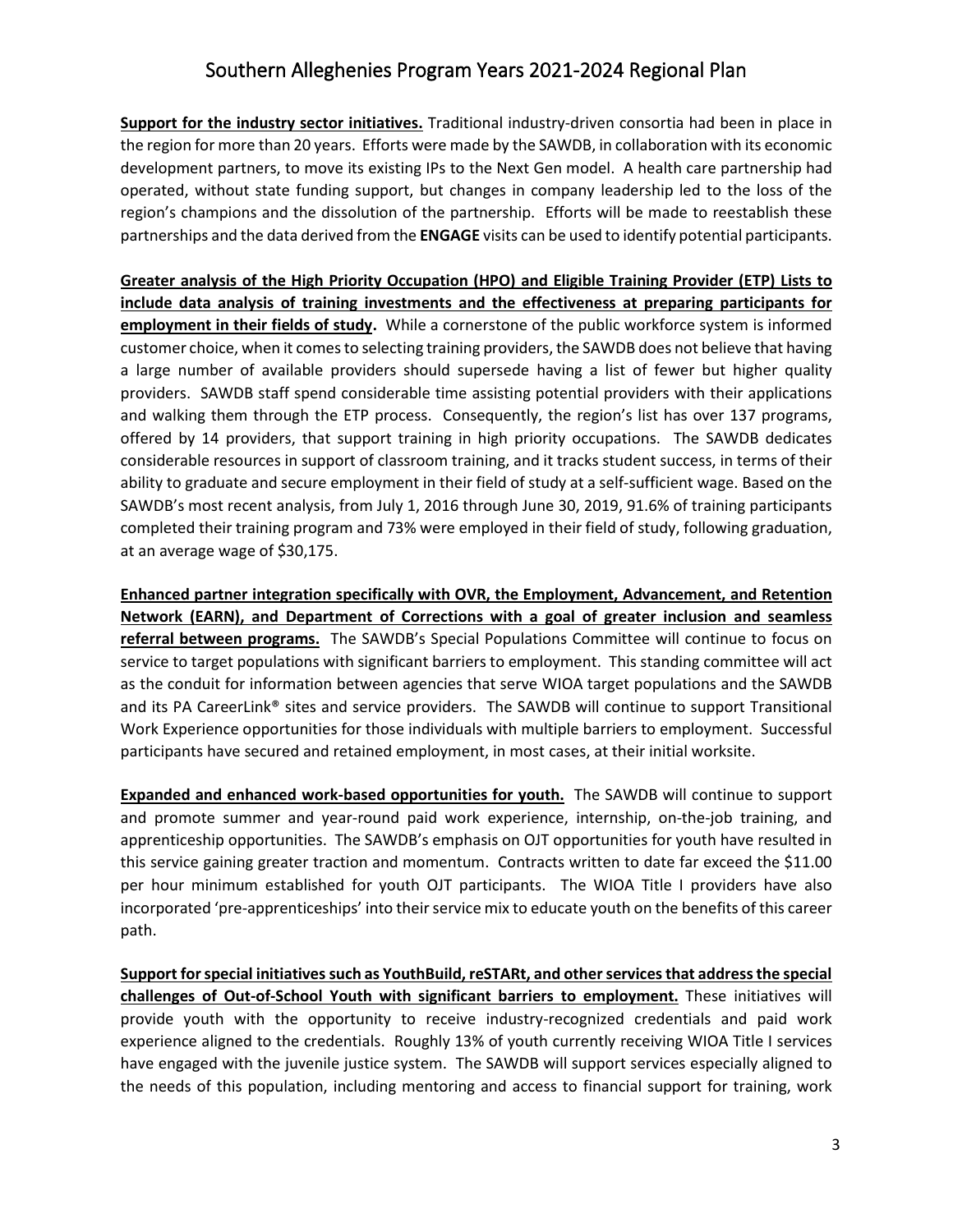**Support for the industry sector initiatives.** Traditional industry-driven consortia had been in place in the region for more than 20 years. Efforts were made by the SAWDB, in collaboration with its economic development partners, to move its existing IPs to the Next Gen model. A health care partnership had operated, without state funding support, but changes in company leadership led to the loss of the region's champions and the dissolution of the partnership. Efforts will be made to reestablish these partnerships and the data derived from the **ENGAGE** visits can be used to identify potential participants.

**Greater analysis of the High Priority Occupation (HPO) and Eligible Training Provider (ETP) Lists to include data analysis of training investments and the effectiveness at preparing participants for employment in their fields of study.** While a cornerstone of the public workforce system is informed customer choice, when it comes to selecting training providers, the SAWDB does not believe that having a large number of available providers should supersede having a list of fewer but higher quality providers. SAWDB staff spend considerable time assisting potential providers with their applications and walking them through the ETP process. Consequently, the region's list has over 137 programs, offered by 14 providers, that support training in high priority occupations. The SAWDB dedicates considerable resources in support of classroom training, and it tracks student success, in terms of their ability to graduate and secure employment in their field of study at a self-sufficient wage. Based on the SAWDB's most recent analysis, from July 1, 2016 through June 30, 2019, 91.6% of training participants completed their training program and 73% were employed in their field of study, following graduation, at an average wage of \$30,175.

**Enhanced partner integration specifically with OVR, the Employment, Advancement, and Retention Network (EARN), and Department of Corrections with a goal of greater inclusion and seamless referral between programs.** The SAWDB's Special Populations Committee will continue to focus on service to target populations with significant barriers to employment. This standing committee will act as the conduit for information between agencies that serve WIOA target populations and the SAWDB and its PA CareerLink® sites and service providers. The SAWDB will continue to support Transitional Work Experience opportunities for those individuals with multiple barriers to employment. Successful participants have secured and retained employment, in most cases, at their initial worksite.

**Expanded and enhanced work-based opportunities for youth.** The SAWDB will continue to support and promote summer and year-round paid work experience, internship, on-the-job training, and apprenticeship opportunities. The SAWDB's emphasis on OJT opportunities for youth have resulted in this service gaining greater traction and momentum. Contracts written to date far exceed the \$11.00 per hour minimum established for youth OJT participants. The WIOA Title I providers have also incorporated 'pre-apprenticeships' into their service mix to educate youth on the benefits of this career path.

**Support forspecial initiativessuch as YouthBuild, reSTARt, and otherservicesthat addressthe special challenges of Out-of-School Youth with significant barriers to employment.** These initiatives will provide youth with the opportunity to receive industry-recognized credentials and paid work experience aligned to the credentials. Roughly 13% of youth currently receiving WIOA Title I services have engaged with the juvenile justice system. The SAWDB will support services especially aligned to the needs of this population, including mentoring and access to financial support for training, work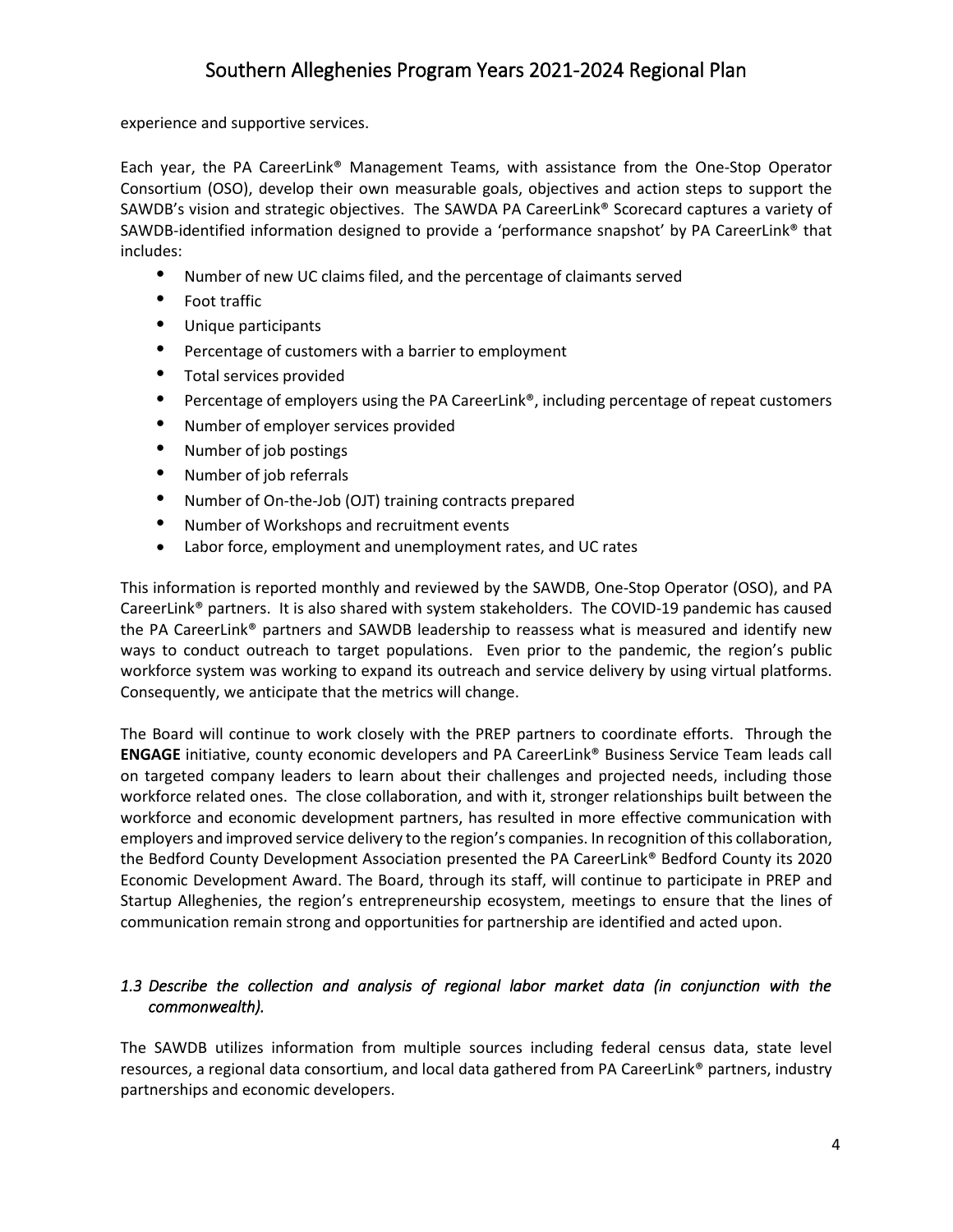experience and supportive services.

Each year, the PA CareerLink® Management Teams, with assistance from the One-Stop Operator Consortium (OSO), develop their own measurable goals, objectives and action steps to support the SAWDB's vision and strategic objectives. The SAWDA PA CareerLink® Scorecard captures a variety of SAWDB-identified information designed to provide a 'performance snapshot' by PA CareerLink® that includes:

- Number of new UC claims filed, and the percentage of claimants served
- Foot traffic
- Unique participants
- Percentage of customers with a barrier to employment
- Total services provided
- Percentage of employers using the PA CareerLink®, including percentage of repeat customers
- Number of employer services provided
- Number of job postings
- Number of job referrals
- Number of On-the-Job (OJT) training contracts prepared
- Number of Workshops and recruitment events
- Labor force, employment and unemployment rates, and UC rates

This information is reported monthly and reviewed by the SAWDB, One-Stop Operator (OSO), and PA CareerLink® partners. It is also shared with system stakeholders. The COVID-19 pandemic has caused the PA CareerLink® partners and SAWDB leadership to reassess what is measured and identify new ways to conduct outreach to target populations. Even prior to the pandemic, the region's public workforce system was working to expand its outreach and service delivery by using virtual platforms. Consequently, we anticipate that the metrics will change.

The Board will continue to work closely with the PREP partners to coordinate efforts. Through the **ENGAGE** initiative, county economic developers and PA CareerLink® Business Service Team leads call on targeted company leaders to learn about their challenges and projected needs, including those workforce related ones. The close collaboration, and with it, stronger relationships built between the workforce and economic development partners, has resulted in more effective communication with employers and improved service delivery to the region's companies. In recognition of this collaboration, the Bedford County Development Association presented the PA CareerLink® Bedford County its 2020 Economic Development Award. The Board, through its staff, will continue to participate in PREP and Startup Alleghenies, the region's entrepreneurship ecosystem, meetings to ensure that the lines of communication remain strong and opportunities for partnership are identified and acted upon.

## *1.3 Describe the collection and analysis of regional labor market data (in conjunction with the commonwealth).*

The SAWDB utilizes information from multiple sources including federal census data, state level resources, a regional data consortium, and local data gathered from PA CareerLink® partners, industry partnerships and economic developers.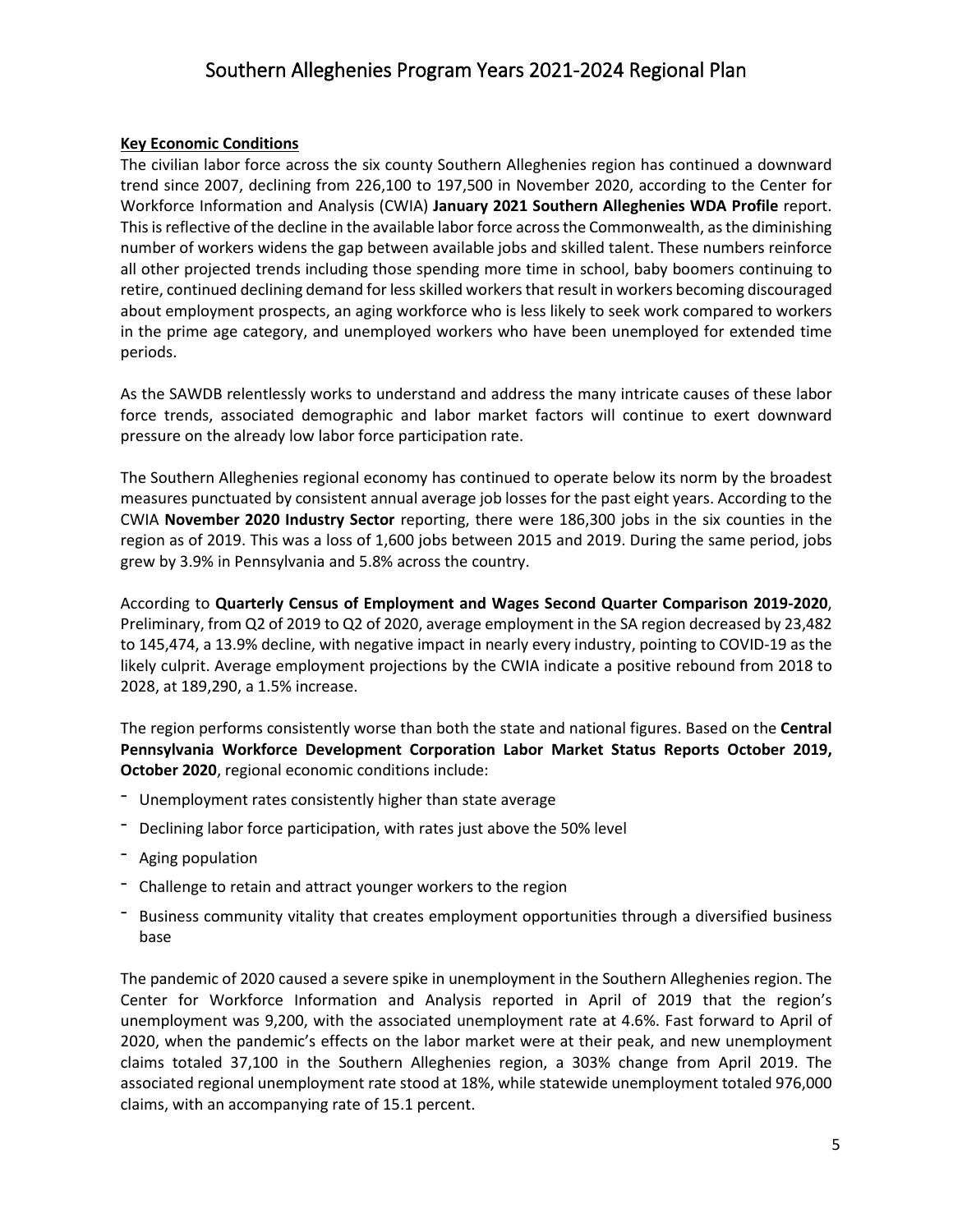#### **Key Economic Conditions**

The civilian labor force across the six county Southern Alleghenies region has continued a downward trend since 2007, declining from 226,100 to 197,500 in November 2020, according to the Center for Workforce Information and Analysis (CWIA) **January 2021 Southern Alleghenies WDA Profile** report. This is reflective of the decline in the available labor force across the Commonwealth, as the diminishing number of workers widens the gap between available jobs and skilled talent. These numbers reinforce all other projected trends including those spending more time in school, baby boomers continuing to retire, continued declining demand for less skilled workers that result in workers becoming discouraged about employment prospects, an aging workforce who is less likely to seek work compared to workers in the prime age category, and unemployed workers who have been unemployed for extended time periods.

As the SAWDB relentlessly works to understand and address the many intricate causes of these labor force trends, associated demographic and labor market factors will continue to exert downward pressure on the already low labor force participation rate.

The Southern Alleghenies regional economy has continued to operate below its norm by the broadest measures punctuated by consistent annual average job losses for the past eight years. According to the CWIA **November 2020 Industry Sector** reporting, there were 186,300 jobs in the six counties in the region as of 2019. This was a loss of 1,600 jobs between 2015 and 2019. During the same period, jobs grew by 3.9% in Pennsylvania and 5.8% across the country.

According to **Quarterly Census of Employment and Wages Second Quarter Comparison 2019-2020**, Preliminary, from Q2 of 2019 to Q2 of 2020, average employment in the SA region decreased by 23,482 to 145,474, a 13.9% decline, with negative impact in nearly every industry, pointing to COVID-19 as the likely culprit. Average employment projections by the CWIA indicate a positive rebound from 2018 to 2028, at 189,290, a 1.5% increase.

The region performs consistently worse than both the state and national figures. Based on the **Central Pennsylvania Workforce Development Corporation Labor Market Status Reports October 2019, October 2020**, regional economic conditions include:

- Unemployment rates consistently higher than state average
- Declining labor force participation, with rates just above the 50% level
- Aging population
- Challenge to retain and attract younger workers to the region
- Business community vitality that creates employment opportunities through a diversified business base

The pandemic of 2020 caused a severe spike in unemployment in the Southern Alleghenies region. The Center for Workforce Information and Analysis reported in April of 2019 that the region's unemployment was 9,200, with the associated unemployment rate at 4.6%. Fast forward to April of 2020, when the pandemic's effects on the labor market were at their peak, and new unemployment claims totaled 37,100 in the Southern Alleghenies region, a 303% change from April 2019. The associated regional unemployment rate stood at 18%, while statewide unemployment totaled 976,000 claims, with an accompanying rate of 15.1 percent.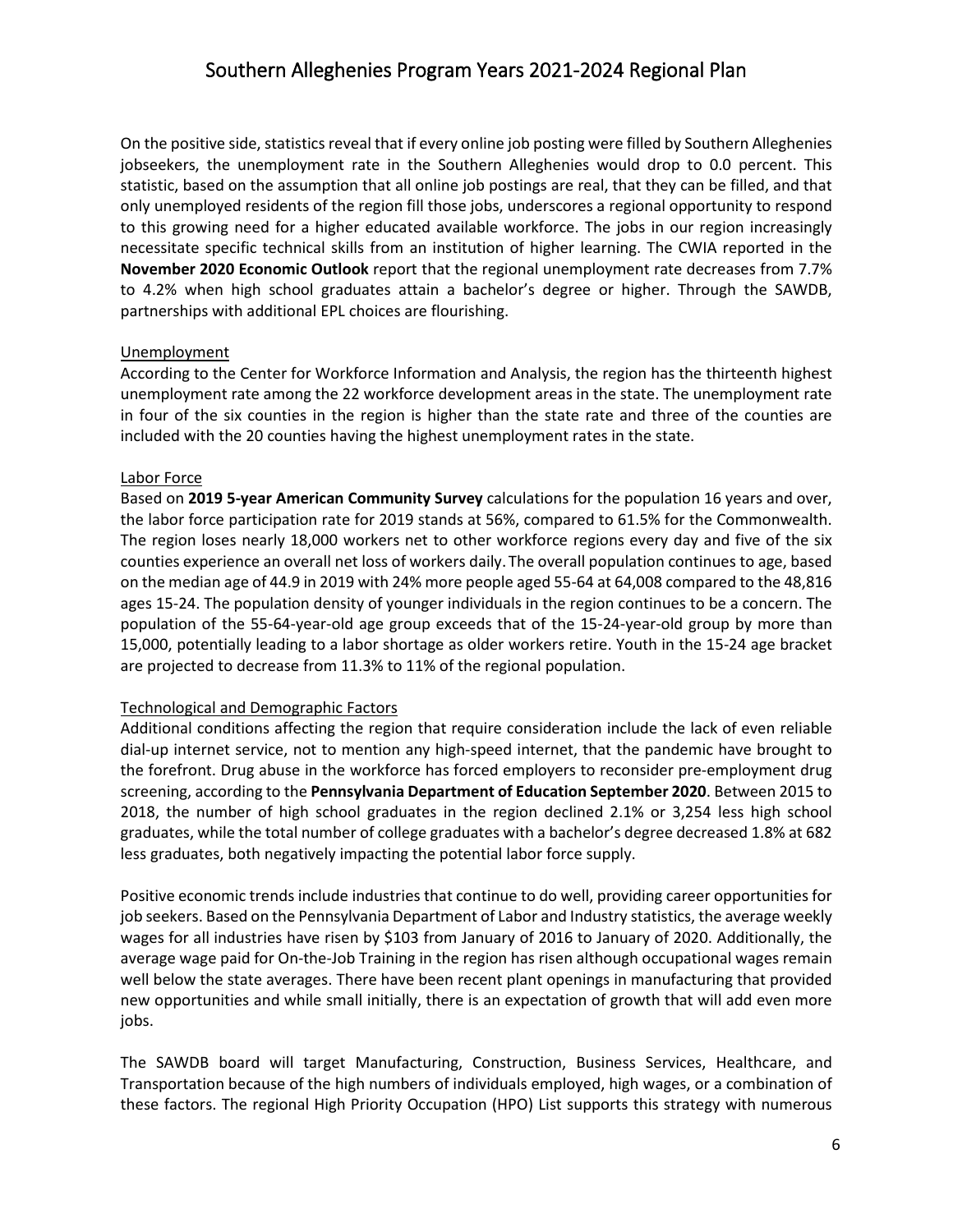On the positive side, statistics reveal that if every online job posting were filled by Southern Alleghenies jobseekers, the unemployment rate in the Southern Alleghenies would drop to 0.0 percent. This statistic, based on the assumption that all online job postings are real, that they can be filled, and that only unemployed residents of the region fill those jobs, underscores a regional opportunity to respond to this growing need for a higher educated available workforce. The jobs in our region increasingly necessitate specific technical skills from an institution of higher learning. The CWIA reported in the **November 2020 Economic Outlook** report that the regional unemployment rate decreases from 7.7% to 4.2% when high school graduates attain a bachelor's degree or higher. Through the SAWDB, partnerships with additional EPL choices are flourishing.

#### Unemployment

According to the Center for Workforce Information and Analysis, the region has the thirteenth highest unemployment rate among the 22 workforce development areas in the state. The unemployment rate in four of the six counties in the region is higher than the state rate and three of the counties are included with the 20 counties having the highest unemployment rates in the state.

#### Labor Force

Based on **2019 5-year American Community Survey** calculations for the population 16 years and over, the labor force participation rate for 2019 stands at 56%, compared to 61.5% for the Commonwealth. The region loses nearly 18,000 workers net to other workforce regions every day and five of the six counties experience an overall net loss of workers daily. The overall population continues to age, based on the median age of 44.9 in 2019 with 24% more people aged 55-64 at 64,008 compared to the 48,816 ages 15-24. The population density of younger individuals in the region continues to be a concern. The population of the 55-64-year-old age group exceeds that of the 15-24-year-old group by more than 15,000, potentially leading to a labor shortage as older workers retire. Youth in the 15-24 age bracket are projected to decrease from 11.3% to 11% of the regional population.

#### Technological and Demographic Factors

Additional conditions affecting the region that require consideration include the lack of even reliable dial-up internet service, not to mention any high-speed internet, that the pandemic have brought to the forefront. Drug abuse in the workforce has forced employers to reconsider pre-employment drug screening, according to the **Pennsylvania Department of Education September 2020**. Between 2015 to 2018, the number of high school graduates in the region declined 2.1% or 3,254 less high school graduates, while the total number of college graduates with a bachelor's degree decreased 1.8% at 682 less graduates, both negatively impacting the potential labor force supply.

Positive economic trends include industries that continue to do well, providing career opportunities for job seekers. Based on the Pennsylvania Department of Labor and Industry statistics, the average weekly wages for all industries have risen by \$103 from January of 2016 to January of 2020. Additionally, the average wage paid for On-the-Job Training in the region has risen although occupational wages remain well below the state averages. There have been recent plant openings in manufacturing that provided new opportunities and while small initially, there is an expectation of growth that will add even more jobs.

The SAWDB board will target Manufacturing, Construction, Business Services, Healthcare, and Transportation because of the high numbers of individuals employed, high wages, or a combination of these factors. The regional High Priority Occupation (HPO) List supports this strategy with numerous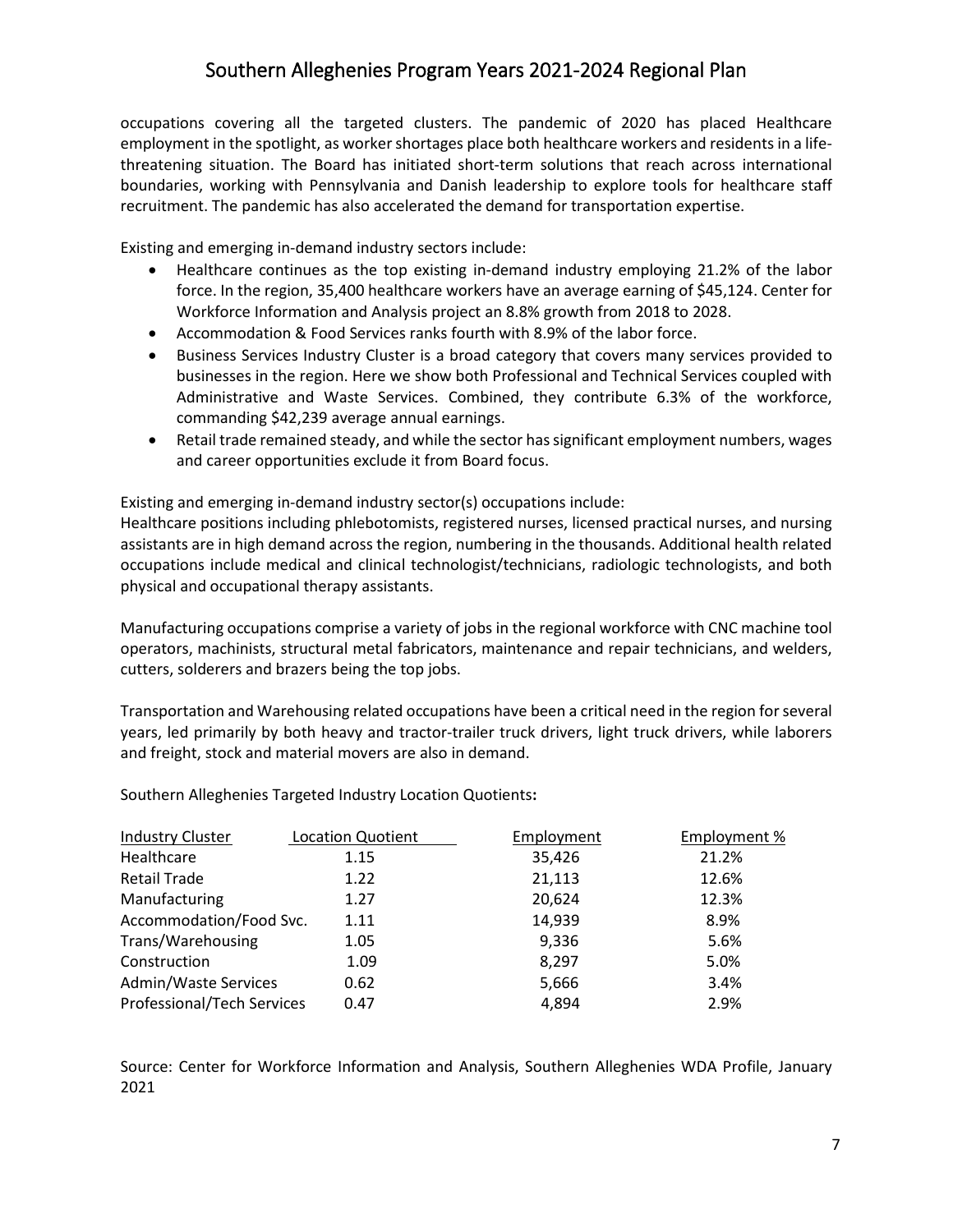occupations covering all the targeted clusters. The pandemic of 2020 has placed Healthcare employment in the spotlight, as worker shortages place both healthcare workers and residents in a lifethreatening situation. The Board has initiated short-term solutions that reach across international boundaries, working with Pennsylvania and Danish leadership to explore tools for healthcare staff recruitment. The pandemic has also accelerated the demand for transportation expertise.

Existing and emerging in-demand industry sectors include:

- Healthcare continues as the top existing in-demand industry employing 21.2% of the labor force. In the region, 35,400 healthcare workers have an average earning of \$45,124. Center for Workforce Information and Analysis project an 8.8% growth from 2018 to 2028.
- Accommodation & Food Services ranks fourth with 8.9% of the labor force.
- Business Services Industry Cluster is a broad category that covers many services provided to businesses in the region. Here we show both Professional and Technical Services coupled with Administrative and Waste Services. Combined, they contribute 6.3% of the workforce, commanding \$42,239 average annual earnings.
- Retail trade remained steady, and while the sector has significant employment numbers, wages and career opportunities exclude it from Board focus.

Existing and emerging in-demand industry sector(s) occupations include:

Healthcare positions including phlebotomists, registered nurses, licensed practical nurses, and nursing assistants are in high demand across the region, numbering in the thousands. Additional health related occupations include medical and clinical technologist/technicians, radiologic technologists, and both physical and occupational therapy assistants.

Manufacturing occupations comprise a variety of jobs in the regional workforce with CNC machine tool operators, machinists, structural metal fabricators, maintenance and repair technicians, and welders, cutters, solderers and brazers being the top jobs.

Transportation and Warehousing related occupations have been a critical need in the region forseveral years, led primarily by both heavy and tractor-trailer truck drivers, light truck drivers, while laborers and freight, stock and material movers are also in demand.

Southern Alleghenies Targeted Industry Location Quotients**:**

| <b>Industry Cluster</b>     | <b>Location Quotient</b> | Employment | Employment % |
|-----------------------------|--------------------------|------------|--------------|
| Healthcare                  | 1.15                     | 35,426     | 21.2%        |
| <b>Retail Trade</b>         | 1.22                     | 21,113     | 12.6%        |
| Manufacturing               | 1.27                     | 20,624     | 12.3%        |
| Accommodation/Food Svc.     | 1.11                     | 14,939     | 8.9%         |
| Trans/Warehousing           | 1.05                     | 9,336      | 5.6%         |
| Construction                | 1.09                     | 8,297      | 5.0%         |
| <b>Admin/Waste Services</b> | 0.62                     | 5,666      | 3.4%         |
| Professional/Tech Services  | 0.47                     | 4,894      | 2.9%         |

Source: Center for Workforce Information and Analysis, Southern Alleghenies WDA Profile, January 2021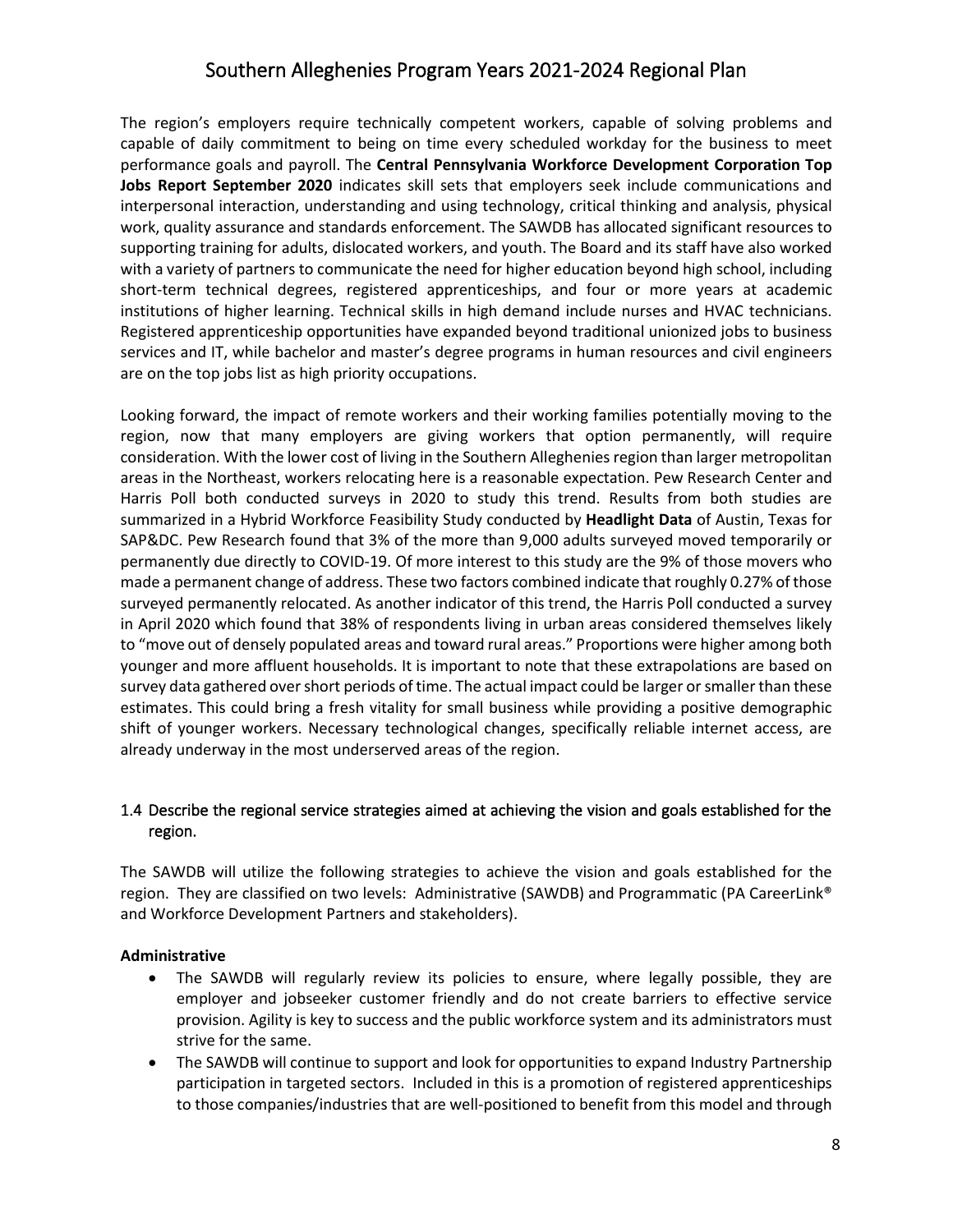The region's employers require technically competent workers, capable of solving problems and capable of daily commitment to being on time every scheduled workday for the business to meet performance goals and payroll. The **Central Pennsylvania Workforce Development Corporation Top Jobs Report September 2020** indicates skill sets that employers seek include communications and interpersonal interaction, understanding and using technology, critical thinking and analysis, physical work, quality assurance and standards enforcement. The SAWDB has allocated significant resources to supporting training for adults, dislocated workers, and youth. The Board and its staff have also worked with a variety of partners to communicate the need for higher education beyond high school, including short-term technical degrees, registered apprenticeships, and four or more years at academic institutions of higher learning. Technical skills in high demand include nurses and HVAC technicians. Registered apprenticeship opportunities have expanded beyond traditional unionized jobs to business services and IT, while bachelor and master's degree programs in human resources and civil engineers are on the top jobs list as high priority occupations.

Looking forward, the impact of remote workers and their working families potentially moving to the region, now that many employers are giving workers that option permanently, will require consideration. With the lower cost of living in the Southern Alleghenies region than larger metropolitan areas in the Northeast, workers relocating here is a reasonable expectation. Pew Research Center and Harris Poll both conducted surveys in 2020 to study this trend. Results from both studies are summarized in a Hybrid Workforce Feasibility Study conducted by **Headlight Data** of Austin, Texas for SAP&DC. Pew Research found that 3% of the more than 9,000 adults surveyed moved temporarily or permanently due directly to COVID-19. Of more interest to this study are the 9% of those movers who made a permanent change of address. These two factors combined indicate that roughly 0.27% of those surveyed permanently relocated. As another indicator of this trend, the Harris Poll conducted a survey in April 2020 which found that 38% of respondents living in urban areas considered themselves likely to "move out of densely populated areas and toward rural areas." Proportions were higher among both younger and more affluent households. It is important to note that these extrapolations are based on survey data gathered over short periods of time. The actual impact could be larger or smaller than these estimates. This could bring a fresh vitality for small business while providing a positive demographic shift of younger workers. Necessary technological changes, specifically reliable internet access, are already underway in the most underserved areas of the region.

## 1.4 Describe the regional service strategies aimed at achieving the vision and goals established for the region.

The SAWDB will utilize the following strategies to achieve the vision and goals established for the region. They are classified on two levels: Administrative (SAWDB) and Programmatic (PA CareerLink® and Workforce Development Partners and stakeholders).

#### **Administrative**

- The SAWDB will regularly review its policies to ensure, where legally possible, they are employer and jobseeker customer friendly and do not create barriers to effective service provision. Agility is key to success and the public workforce system and its administrators must strive for the same.
- The SAWDB will continue to support and look for opportunities to expand Industry Partnership participation in targeted sectors. Included in this is a promotion of registered apprenticeships to those companies/industries that are well-positioned to benefit from this model and through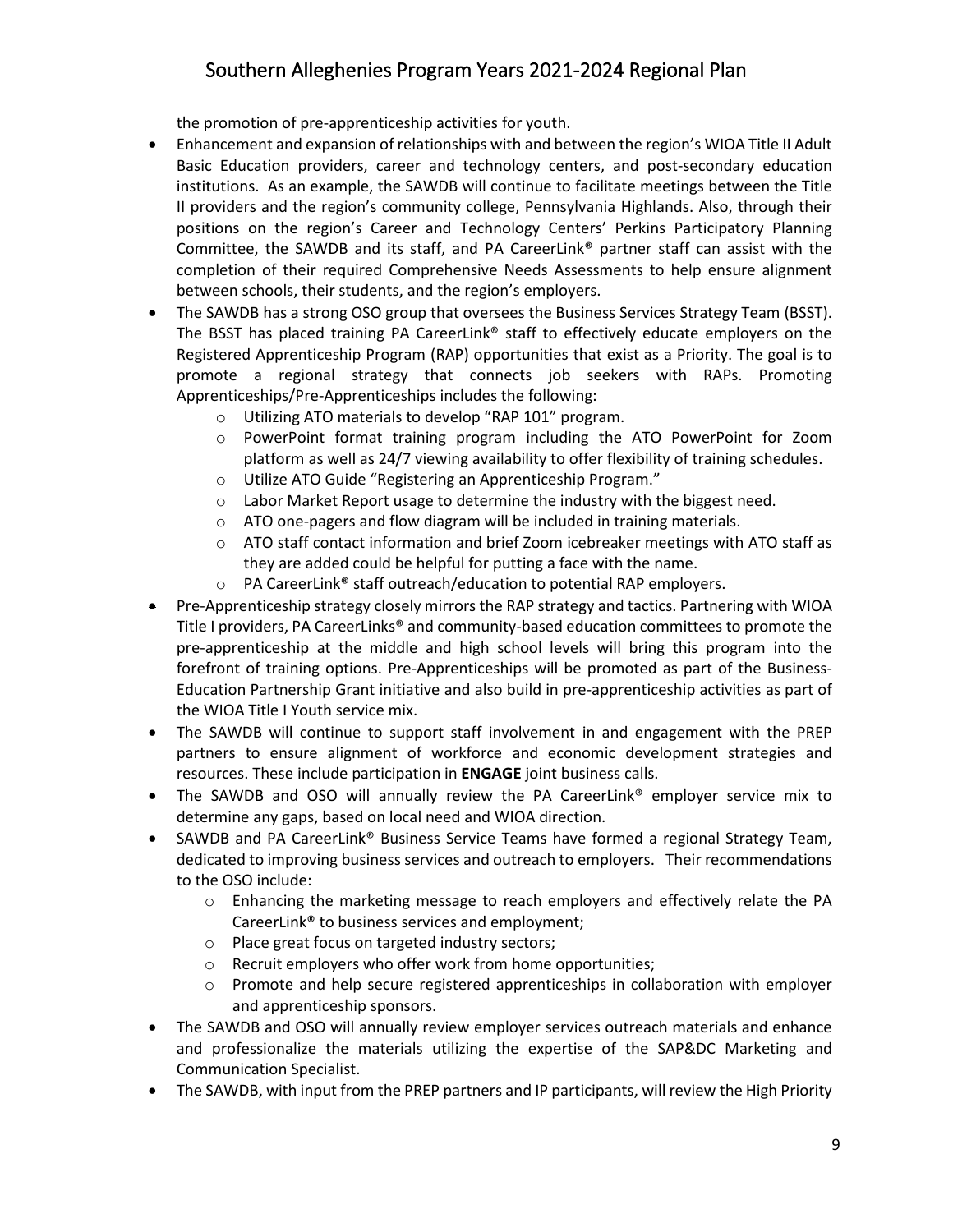the promotion of pre-apprenticeship activities for youth.

- Enhancement and expansion of relationships with and between the region's WIOA Title II Adult Basic Education providers, career and technology centers, and post-secondary education institutions. As an example, the SAWDB will continue to facilitate meetings between the Title II providers and the region's community college, Pennsylvania Highlands. Also, through their positions on the region's Career and Technology Centers' Perkins Participatory Planning Committee, the SAWDB and its staff, and PA CareerLink® partner staff can assist with the completion of their required Comprehensive Needs Assessments to help ensure alignment between schools, their students, and the region's employers.
- The SAWDB has a strong OSO group that oversees the Business Services Strategy Team (BSST). The BSST has placed training PA CareerLink® staff to effectively educate employers on the Registered Apprenticeship Program (RAP) opportunities that exist as a Priority. The goal is to promote a regional strategy that connects job seekers with RAPs. Promoting Apprenticeships/Pre-Apprenticeships includes the following:
	- o Utilizing ATO materials to develop "RAP 101" program.
	- o PowerPoint format training program including the ATO PowerPoint for Zoom platform as well as 24/7 viewing availability to offer flexibility of training schedules.
	- o Utilize ATO Guide "Registering an Apprenticeship Program."
	- $\circ$  Labor Market Report usage to determine the industry with the biggest need.
	- o ATO one-pagers and flow diagram will be included in training materials.
	- $\circ$  ATO staff contact information and brief Zoom icebreaker meetings with ATO staff as they are added could be helpful for putting a face with the name.
	- o PA CareerLink® staff outreach/education to potential RAP employers.
- Pre-Apprenticeship strategy closely mirrors the RAP strategy and tactics. Partnering with WIOA Title I providers, PA CareerLinks® and community-based education committees to promote the pre-apprenticeship at the middle and high school levels will bring this program into the forefront of training options. Pre-Apprenticeships will be promoted as part of the Business-Education Partnership Grant initiative and also build in pre-apprenticeship activities as part of the WIOA Title I Youth service mix.
- The SAWDB will continue to support staff involvement in and engagement with the PREP partners to ensure alignment of workforce and economic development strategies and resources. These include participation in **ENGAGE** joint business calls.
- The SAWDB and OSO will annually review the PA CareerLink® employer service mix to determine any gaps, based on local need and WIOA direction.
- SAWDB and PA CareerLink® Business Service Teams have formed a regional Strategy Team, dedicated to improving business services and outreach to employers. Their recommendations to the OSO include:
	- o Enhancing the marketing message to reach employers and effectively relate the PA CareerLink® to business services and employment;
	- o Place great focus on targeted industry sectors;
	- o Recruit employers who offer work from home opportunities;
	- $\circ$  Promote and help secure registered apprenticeships in collaboration with employer and apprenticeship sponsors.
- The SAWDB and OSO will annually review employer services outreach materials and enhance and professionalize the materials utilizing the expertise of the SAP&DC Marketing and Communication Specialist.
- The SAWDB, with input from the PREP partners and IP participants, will review the High Priority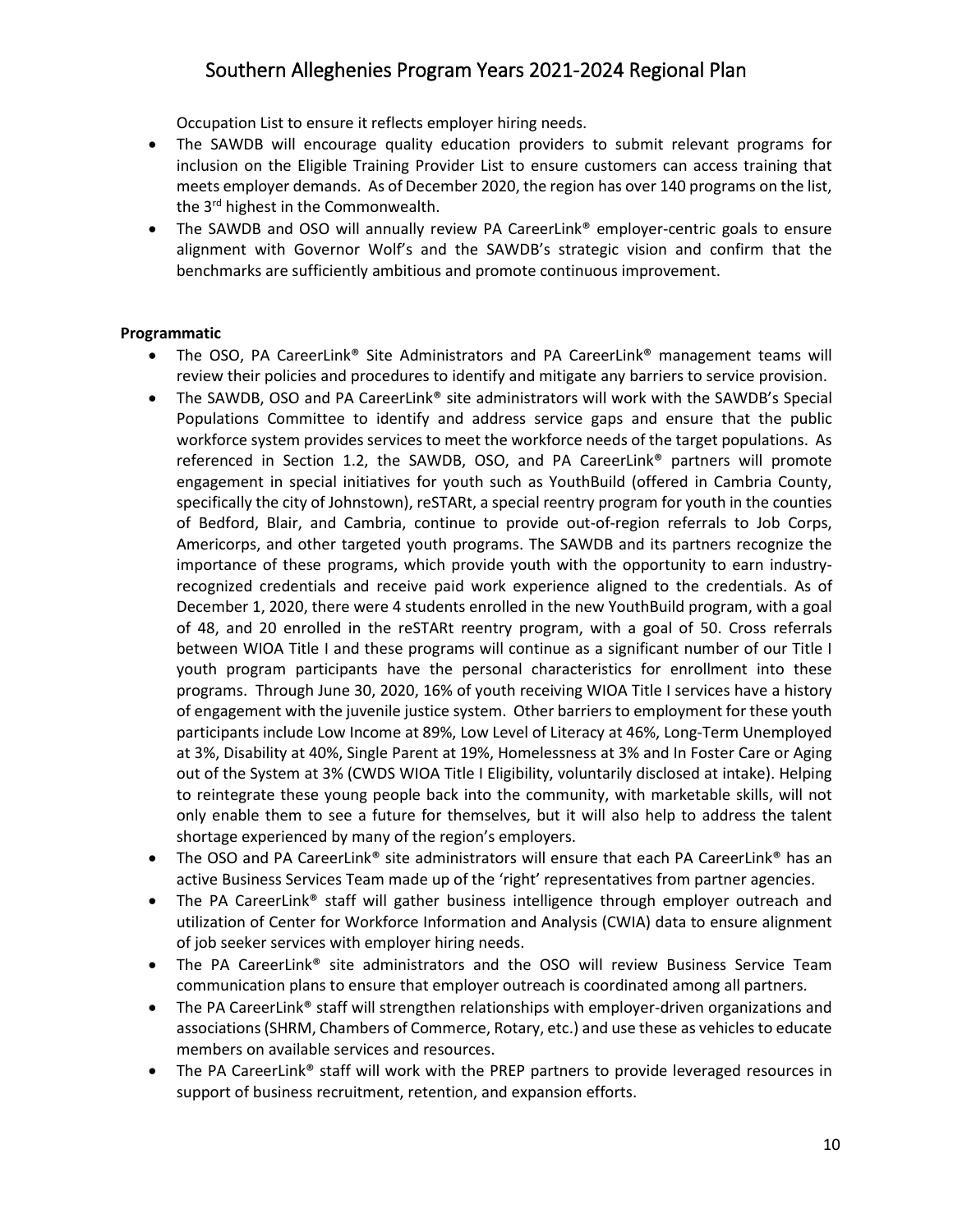Occupation List to ensure it reflects employer hiring needs.

- The SAWDB will encourage quality education providers to submit relevant programs for inclusion on the Eligible Training Provider List to ensure customers can access training that meets employer demands. As of December 2020, the region has over 140 programs on the list, the 3<sup>rd</sup> highest in the Commonwealth.
- The SAWDB and OSO will annually review PA CareerLink® employer-centric goals to ensure alignment with Governor Wolf's and the SAWDB's strategic vision and confirm that the benchmarks are sufficiently ambitious and promote continuous improvement.

#### **Programmatic**

- The OSO, PA CareerLink® Site Administrators and PA CareerLink® management teams will review their policies and procedures to identify and mitigate any barriers to service provision.
- The SAWDB, OSO and PA CareerLink® site administrators will work with the SAWDB's Special Populations Committee to identify and address service gaps and ensure that the public workforce system provides services to meet the workforce needs of the target populations. As referenced in Section 1.2, the SAWDB, OSO, and PA CareerLink® partners will promote engagement in special initiatives for youth such as YouthBuild (offered in Cambria County, specifically the city of Johnstown), reSTARt, a special reentry program for youth in the counties of Bedford, Blair, and Cambria, continue to provide out-of-region referrals to Job Corps, Americorps, and other targeted youth programs. The SAWDB and its partners recognize the importance of these programs, which provide youth with the opportunity to earn industryrecognized credentials and receive paid work experience aligned to the credentials. As of December 1, 2020, there were 4 students enrolled in the new YouthBuild program, with a goal of 48, and 20 enrolled in the reSTARt reentry program, with a goal of 50. Cross referrals between WIOA Title I and these programs will continue as a significant number of our Title I youth program participants have the personal characteristics for enrollment into these programs. Through June 30, 2020, 16% of youth receiving WIOA Title I services have a history of engagement with the juvenile justice system. Other barriers to employment for these youth participants include Low Income at 89%, Low Level of Literacy at 46%, Long-Term Unemployed at 3%, Disability at 40%, Single Parent at 19%, Homelessness at 3% and In Foster Care or Aging out of the System at 3% (CWDS WIOA Title I Eligibility, voluntarily disclosed at intake). Helping to reintegrate these young people back into the community, with marketable skills, will not only enable them to see a future for themselves, but it will also help to address the talent shortage experienced by many of the region's employers.
- The OSO and PA CareerLink® site administrators will ensure that each PA CareerLink® has an active Business Services Team made up of the 'right' representatives from partner agencies.
- The PA CareerLink® staff will gather business intelligence through employer outreach and utilization of Center for Workforce Information and Analysis (CWIA) data to ensure alignment of job seeker services with employer hiring needs.
- The PA CareerLink® site administrators and the OSO will review Business Service Team communication plans to ensure that employer outreach is coordinated among all partners.
- The PA CareerLink<sup>®</sup> staff will strengthen relationships with employer-driven organizations and associations(SHRM, Chambers of Commerce, Rotary, etc.) and use these as vehicles to educate members on available services and resources.
- The PA CareerLink® staff will work with the PREP partners to provide leveraged resources in support of business recruitment, retention, and expansion efforts.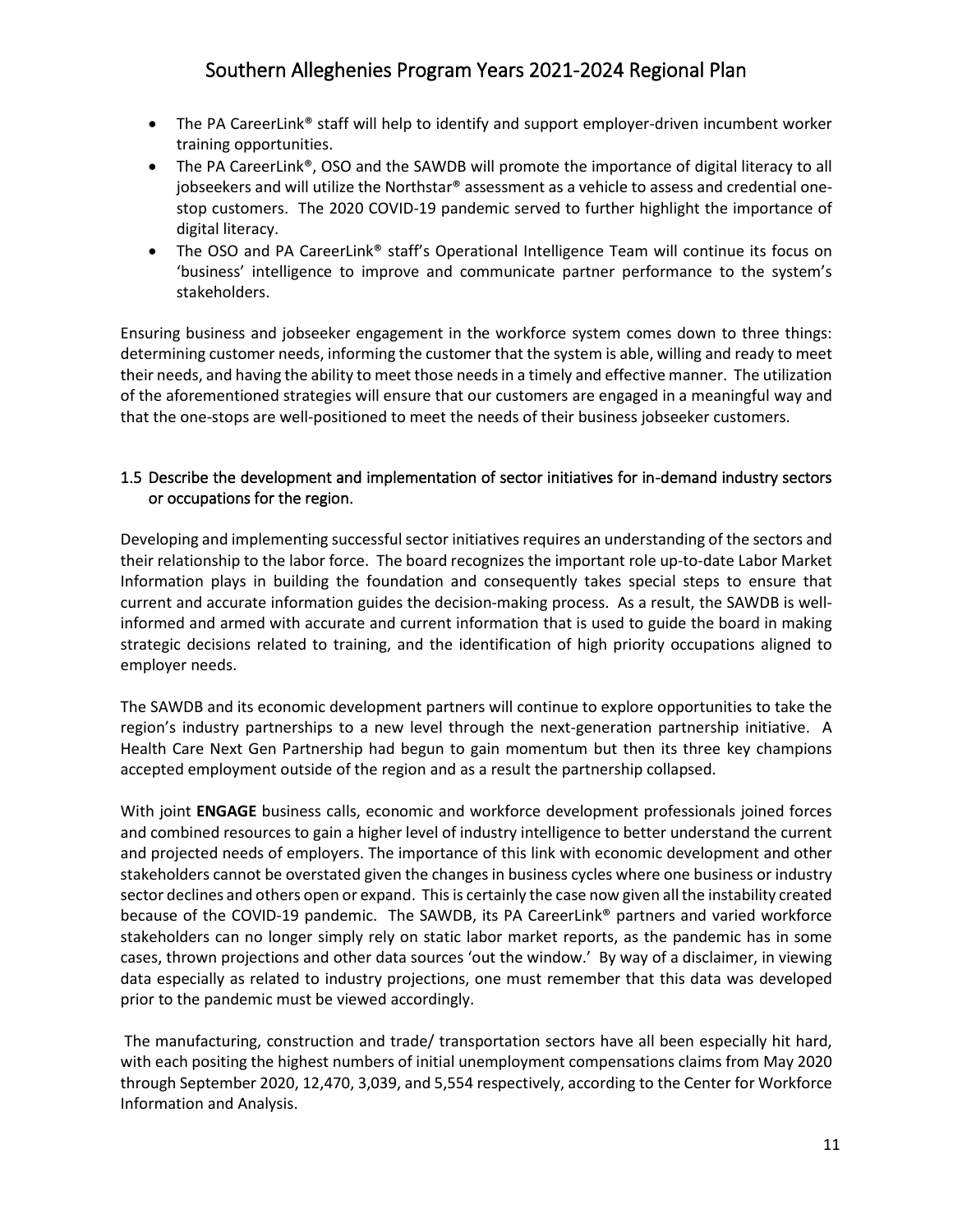- The PA CareerLink® staff will help to identify and support employer-driven incumbent worker training opportunities.
- The PA CareerLink®, OSO and the SAWDB will promote the importance of digital literacy to all jobseekers and will utilize the Northstar® assessment as a vehicle to assess and credential onestop customers. The 2020 COVID-19 pandemic served to further highlight the importance of digital literacy.
- The OSO and PA CareerLink<sup>®</sup> staff's Operational Intelligence Team will continue its focus on 'business' intelligence to improve and communicate partner performance to the system's stakeholders.

Ensuring business and jobseeker engagement in the workforce system comes down to three things: determining customer needs, informing the customer that the system is able, willing and ready to meet their needs, and having the ability to meet those needsin a timely and effective manner. The utilization of the aforementioned strategies will ensure that our customers are engaged in a meaningful way and that the one-stops are well-positioned to meet the needs of their business jobseeker customers.

## 1.5 Describe the development and implementation of sector initiatives for in-demand industry sectors or occupations for the region.

Developing and implementing successful sector initiatives requires an understanding of the sectors and their relationship to the labor force. The board recognizes the important role up-to-date Labor Market Information plays in building the foundation and consequently takes special steps to ensure that current and accurate information guides the decision-making process. As a result, the SAWDB is wellinformed and armed with accurate and current information that is used to guide the board in making strategic decisions related to training, and the identification of high priority occupations aligned to employer needs.

The SAWDB and its economic development partners will continue to explore opportunities to take the region's industry partnerships to a new level through the next-generation partnership initiative. A Health Care Next Gen Partnership had begun to gain momentum but then its three key champions accepted employment outside of the region and as a result the partnership collapsed.

With joint **ENGAGE** business calls, economic and workforce development professionals joined forces and combined resources to gain a higher level of industry intelligence to better understand the current and projected needs of employers. The importance of this link with economic development and other stakeholders cannot be overstated given the changes in business cycles where one business or industry sector declines and others open or expand. This is certainly the case now given all the instability created because of the COVID-19 pandemic. The SAWDB, its PA CareerLink® partners and varied workforce stakeholders can no longer simply rely on static labor market reports, as the pandemic has in some cases, thrown projections and other data sources 'out the window.' By way of a disclaimer, in viewing data especially as related to industry projections, one must remember that this data was developed prior to the pandemic must be viewed accordingly.

The manufacturing, construction and trade/ transportation sectors have all been especially hit hard, with each positing the highest numbers of initial unemployment compensations claims from May 2020 through September 2020, 12,470, 3,039, and 5,554 respectively, according to the Center for Workforce Information and Analysis.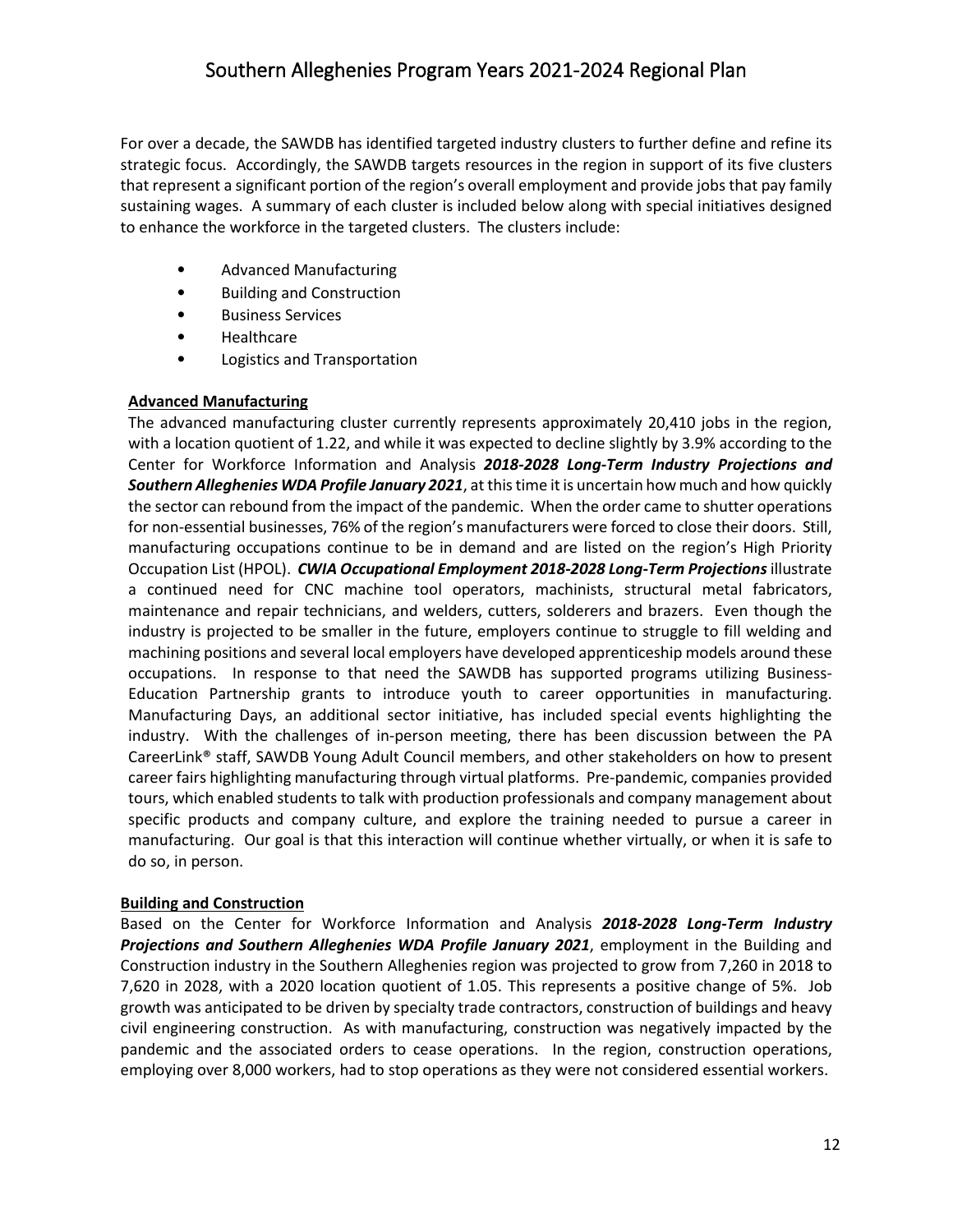For over a decade, the SAWDB has identified targeted industry clusters to further define and refine its strategic focus. Accordingly, the SAWDB targets resources in the region in support of its five clusters that represent a significant portion of the region's overall employment and provide jobs that pay family sustaining wages. A summary of each cluster is included below along with special initiatives designed to enhance the workforce in the targeted clusters. The clusters include:

- Advanced Manufacturing
- Building and Construction
- Business Services
- Healthcare
- Logistics and Transportation

## **Advanced Manufacturing**

The advanced manufacturing cluster currently represents approximately 20,410 jobs in the region, with a location quotient of 1.22, and while it was expected to decline slightly by 3.9% according to the Center for Workforce Information and Analysis *2018-2028 Long-Term Industry Projections and Southern Alleghenies WDA Profile January 2021*, at thistime itis uncertain how much and how quickly the sector can rebound from the impact of the pandemic. When the order came to shutter operations for non-essential businesses, 76% of the region's manufacturers were forced to close their doors. Still, manufacturing occupations continue to be in demand and are listed on the region's High Priority Occupation List (HPOL). *CWIA Occupational Employment 2018-2028 Long-Term Projections* illustrate a continued need for CNC machine tool operators, machinists, structural metal fabricators, maintenance and repair technicians, and welders, cutters, solderers and brazers. Even though the industry is projected to be smaller in the future, employers continue to struggle to fill welding and machining positions and several local employers have developed apprenticeship models around these occupations. In response to that need the SAWDB has supported programs utilizing Business-Education Partnership grants to introduce youth to career opportunities in manufacturing. Manufacturing Days, an additional sector initiative, has included special events highlighting the industry. With the challenges of in-person meeting, there has been discussion between the PA CareerLink® staff, SAWDB Young Adult Council members, and other stakeholders on how to present career fairs highlighting manufacturing through virtual platforms. Pre-pandemic, companies provided tours, which enabled students to talk with production professionals and company management about specific products and company culture, and explore the training needed to pursue a career in manufacturing. Our goal is that this interaction will continue whether virtually, or when it is safe to do so, in person.

## **Building and Construction**

Based on the Center for Workforce Information and Analysis *2018-2028 Long-Term Industry Projections and Southern Alleghenies WDA Profile January 2021*, employment in the Building and Construction industry in the Southern Alleghenies region was projected to grow from 7,260 in 2018 to 7,620 in 2028, with a 2020 location quotient of 1.05. This represents a positive change of 5%. Job growth was anticipated to be driven by specialty trade contractors, construction of buildings and heavy civil engineering construction. As with manufacturing, construction was negatively impacted by the pandemic and the associated orders to cease operations. In the region, construction operations, employing over 8,000 workers, had to stop operations as they were not considered essential workers.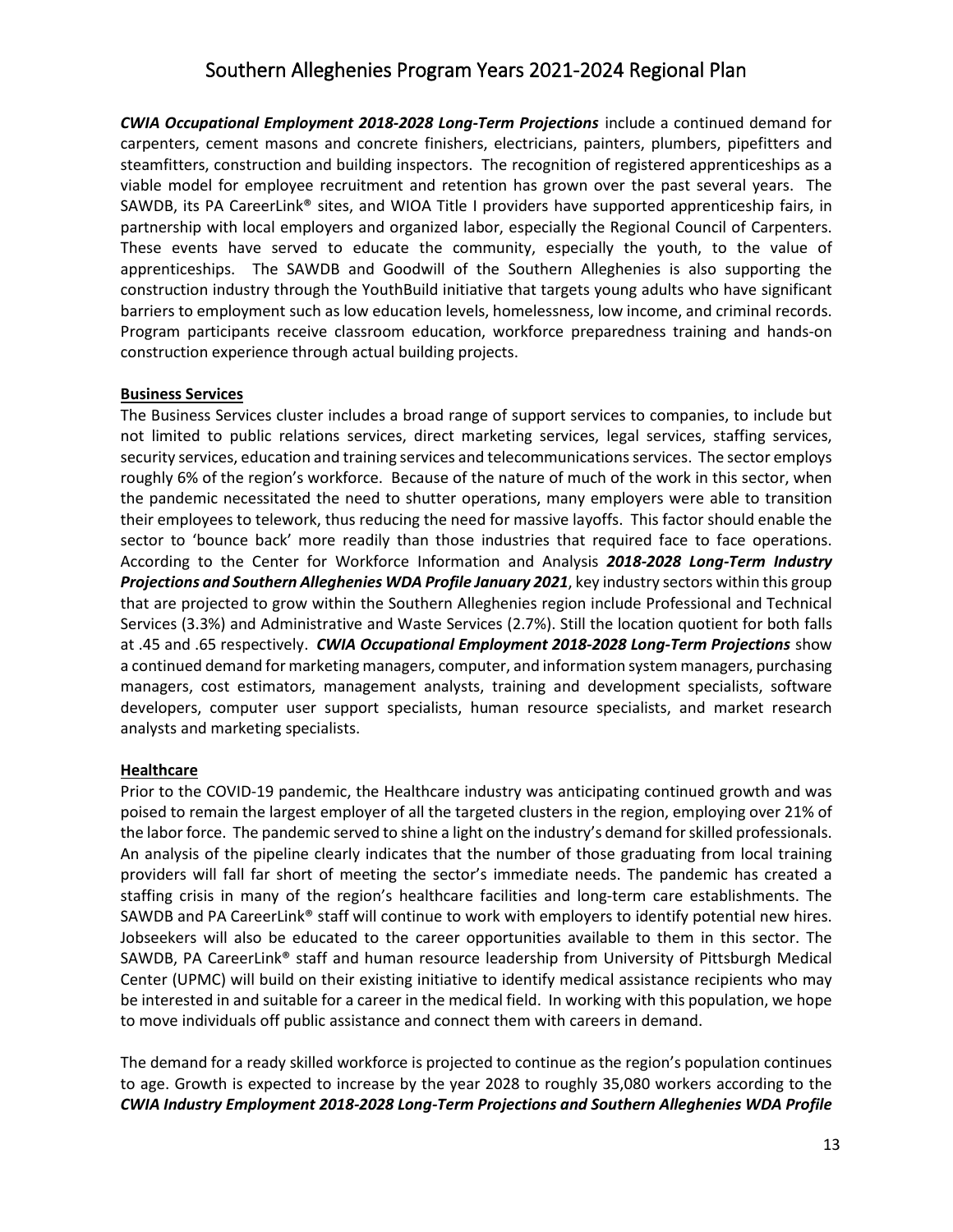*CWIA Occupational Employment 2018-2028 Long-Term Projections* include a continued demand for carpenters, cement masons and concrete finishers, electricians, painters, plumbers, pipefitters and steamfitters, construction and building inspectors. The recognition of registered apprenticeships as a viable model for employee recruitment and retention has grown over the past several years. The SAWDB, its PA CareerLink® sites, and WIOA Title I providers have supported apprenticeship fairs, in partnership with local employers and organized labor, especially the Regional Council of Carpenters. These events have served to educate the community, especially the youth, to the value of apprenticeships. The SAWDB and Goodwill of the Southern Alleghenies is also supporting the construction industry through the YouthBuild initiative that targets young adults who have significant barriers to employment such as low education levels, homelessness, low income, and criminal records. Program participants receive classroom education, workforce preparedness training and hands-on construction experience through actual building projects.

#### **Business Services**

The Business Services cluster includes a broad range of support services to companies, to include but not limited to public relations services, direct marketing services, legal services, staffing services, security services, education and training services and telecommunications services. The sector employs roughly 6% of the region's workforce. Because of the nature of much of the work in this sector, when the pandemic necessitated the need to shutter operations, many employers were able to transition their employees to telework, thus reducing the need for massive layoffs. This factor should enable the sector to 'bounce back' more readily than those industries that required face to face operations. According to the Center for Workforce Information and Analysis *2018-2028 Long-Term Industry Projections and Southern Alleghenies WDA Profile January 2021*, key industry sectors within this group that are projected to grow within the Southern Alleghenies region include Professional and Technical Services (3.3%) and Administrative and Waste Services (2.7%). Still the location quotient for both falls at .45 and .65 respectively. *CWIA Occupational Employment 2018-2028 Long-Term Projections* show a continued demand for marketing managers, computer, and information system managers, purchasing managers, cost estimators, management analysts, training and development specialists, software developers, computer user support specialists, human resource specialists, and market research analysts and marketing specialists.

#### **Healthcare**

Prior to the COVID-19 pandemic, the Healthcare industry was anticipating continued growth and was poised to remain the largest employer of all the targeted clusters in the region, employing over 21% of the labor force. The pandemic served to shine a light on the industry's demand forskilled professionals. An analysis of the pipeline clearly indicates that the number of those graduating from local training providers will fall far short of meeting the sector's immediate needs. The pandemic has created a staffing crisis in many of the region's healthcare facilities and long-term care establishments. The SAWDB and PA CareerLink® staff will continue to work with employers to identify potential new hires. Jobseekers will also be educated to the career opportunities available to them in this sector. The SAWDB, PA CareerLink® staff and human resource leadership from University of Pittsburgh Medical Center (UPMC) will build on their existing initiative to identify medical assistance recipients who may be interested in and suitable for a career in the medical field. In working with this population, we hope to move individuals off public assistance and connect them with careers in demand.

The demand for a ready skilled workforce is projected to continue as the region's population continues to age. Growth is expected to increase by the year 2028 to roughly 35,080 workers according to the *CWIA Industry Employment 2018-2028 Long-Term Projections and Southern Alleghenies WDA Profile*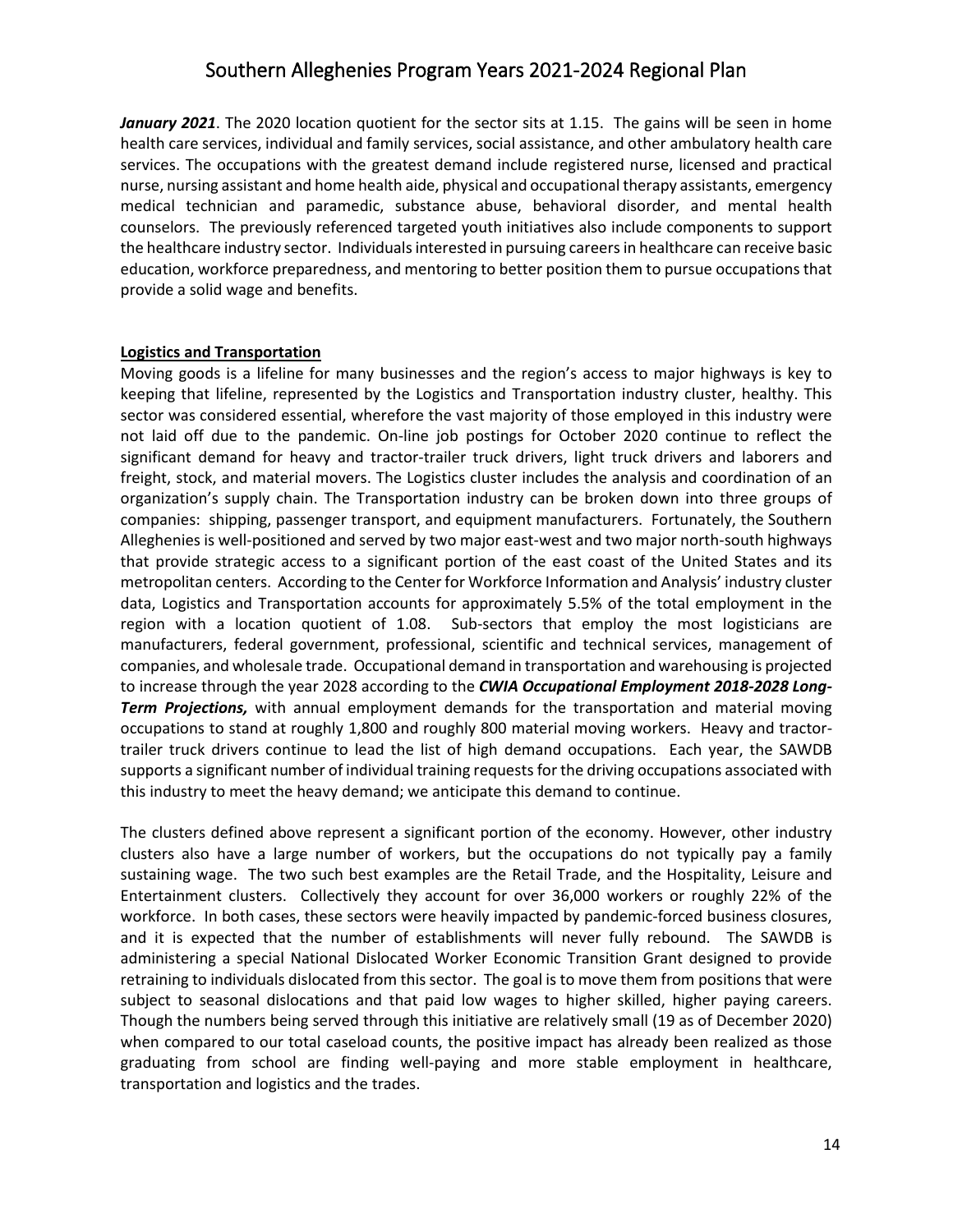*January 2021*. The 2020 location quotient for the sector sits at 1.15. The gains will be seen in home health care services, individual and family services, social assistance, and other ambulatory health care services. The occupations with the greatest demand include registered nurse, licensed and practical nurse, nursing assistant and home health aide, physical and occupational therapy assistants, emergency medical technician and paramedic, substance abuse, behavioral disorder, and mental health counselors. The previously referenced targeted youth initiatives also include components to support the healthcare industry sector. Individuals interested in pursuing careers in healthcare can receive basic education, workforce preparedness, and mentoring to better position them to pursue occupations that provide a solid wage and benefits.

#### **Logistics and Transportation**

Moving goods is a lifeline for many businesses and the region's access to major highways is key to keeping that lifeline, represented by the Logistics and Transportation industry cluster, healthy. This sector was considered essential, wherefore the vast majority of those employed in this industry were not laid off due to the pandemic. On-line job postings for October 2020 continue to reflect the significant demand for heavy and tractor-trailer truck drivers, light truck drivers and laborers and freight, stock, and material movers. The Logistics cluster includes the analysis and coordination of an organization's supply chain. The Transportation industry can be broken down into three groups of companies: shipping, passenger transport, and equipment manufacturers. Fortunately, the Southern Alleghenies is well-positioned and served by two major east-west and two major north-south highways that provide strategic access to a significant portion of the east coast of the United States and its metropolitan centers. According to the Center for Workforce Information and Analysis' industry cluster data, Logistics and Transportation accounts for approximately 5.5% of the total employment in the region with a location quotient of 1.08. Sub-sectors that employ the most logisticians are manufacturers, federal government, professional, scientific and technical services, management of companies, and wholesale trade. Occupational demand in transportation and warehousing is projected to increase through the year 2028 according to the *CWIA Occupational Employment 2018-2028 Long-Term Projections,* with annual employment demands for the transportation and material moving occupations to stand at roughly 1,800 and roughly 800 material moving workers. Heavy and tractortrailer truck drivers continue to lead the list of high demand occupations. Each year, the SAWDB supports a significant number of individual training requestsfor the driving occupations associated with this industry to meet the heavy demand; we anticipate this demand to continue.

The clusters defined above represent a significant portion of the economy. However, other industry clusters also have a large number of workers, but the occupations do not typically pay a family sustaining wage. The two such best examples are the Retail Trade, and the Hospitality, Leisure and Entertainment clusters. Collectively they account for over 36,000 workers or roughly 22% of the workforce. In both cases, these sectors were heavily impacted by pandemic-forced business closures, and it is expected that the number of establishments will never fully rebound. The SAWDB is administering a special National Dislocated Worker Economic Transition Grant designed to provide retraining to individuals dislocated from this sector. The goal is to move them from positions that were subject to seasonal dislocations and that paid low wages to higher skilled, higher paying careers. Though the numbers being served through this initiative are relatively small (19 as of December 2020) when compared to our total caseload counts, the positive impact has already been realized as those graduating from school are finding well-paying and more stable employment in healthcare, transportation and logistics and the trades.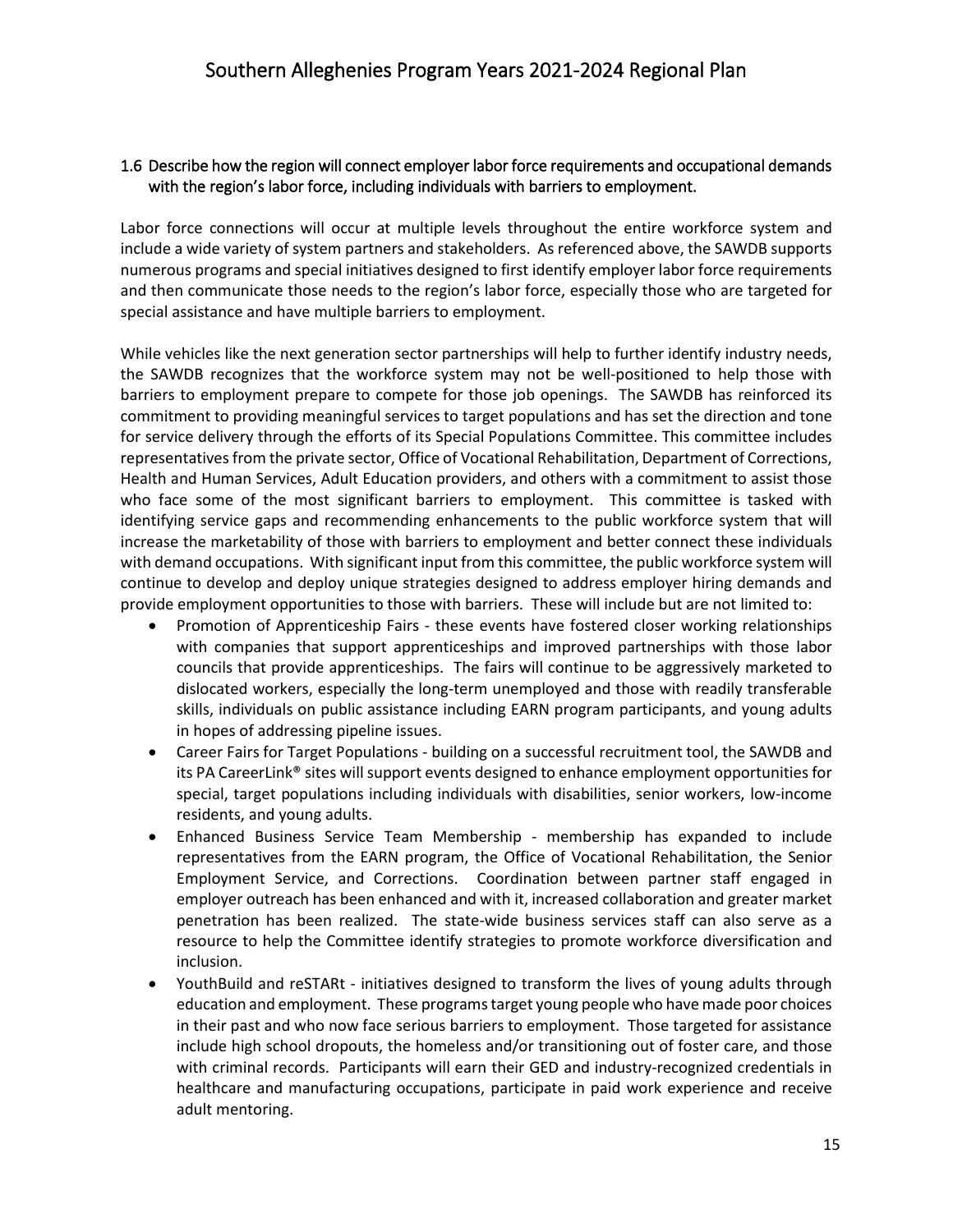## 1.6 Describe how the region will connect employer labor force requirements and occupational demands with the region's labor force, including individuals with barriers to employment.

Labor force connections will occur at multiple levels throughout the entire workforce system and include a wide variety of system partners and stakeholders. As referenced above, the SAWDB supports numerous programs and special initiatives designed to first identify employer labor force requirements and then communicate those needs to the region's labor force, especially those who are targeted for special assistance and have multiple barriers to employment.

While vehicles like the next generation sector partnerships will help to further identify industry needs, the SAWDB recognizes that the workforce system may not be well-positioned to help those with barriers to employment prepare to compete for those job openings. The SAWDB has reinforced its commitment to providing meaningful services to target populations and has set the direction and tone for service delivery through the efforts of its Special Populations Committee. This committee includes representatives from the private sector, Office of Vocational Rehabilitation, Department of Corrections, Health and Human Services, Adult Education providers, and others with a commitment to assist those who face some of the most significant barriers to employment. This committee is tasked with identifying service gaps and recommending enhancements to the public workforce system that will increase the marketability of those with barriers to employment and better connect these individuals with demand occupations. With significant input from this committee, the public workforce system will continue to develop and deploy unique strategies designed to address employer hiring demands and provide employment opportunities to those with barriers. These will include but are not limited to:

- Promotion of Apprenticeship Fairs these events have fostered closer working relationships with companies that support apprenticeships and improved partnerships with those labor councils that provide apprenticeships. The fairs will continue to be aggressively marketed to dislocated workers, especially the long-term unemployed and those with readily transferable skills, individuals on public assistance including EARN program participants, and young adults in hopes of addressing pipeline issues.
- Career Fairs for Target Populations building on a successful recruitment tool, the SAWDB and its PA CareerLink® sites will support events designed to enhance employment opportunities for special, target populations including individuals with disabilities, senior workers, low-income residents, and young adults.
- Enhanced Business Service Team Membership membership has expanded to include representatives from the EARN program, the Office of Vocational Rehabilitation, the Senior Employment Service, and Corrections. Coordination between partner staff engaged in employer outreach has been enhanced and with it, increased collaboration and greater market penetration has been realized. The state-wide business services staff can also serve as a resource to help the Committee identify strategies to promote workforce diversification and inclusion.
- YouthBuild and reSTARt initiatives designed to transform the lives of young adults through education and employment. These programstarget young people who have made poor choices in their past and who now face serious barriers to employment. Those targeted for assistance include high school dropouts, the homeless and/or transitioning out of foster care, and those with criminal records. Participants will earn their GED and industry-recognized credentials in healthcare and manufacturing occupations, participate in paid work experience and receive adult mentoring.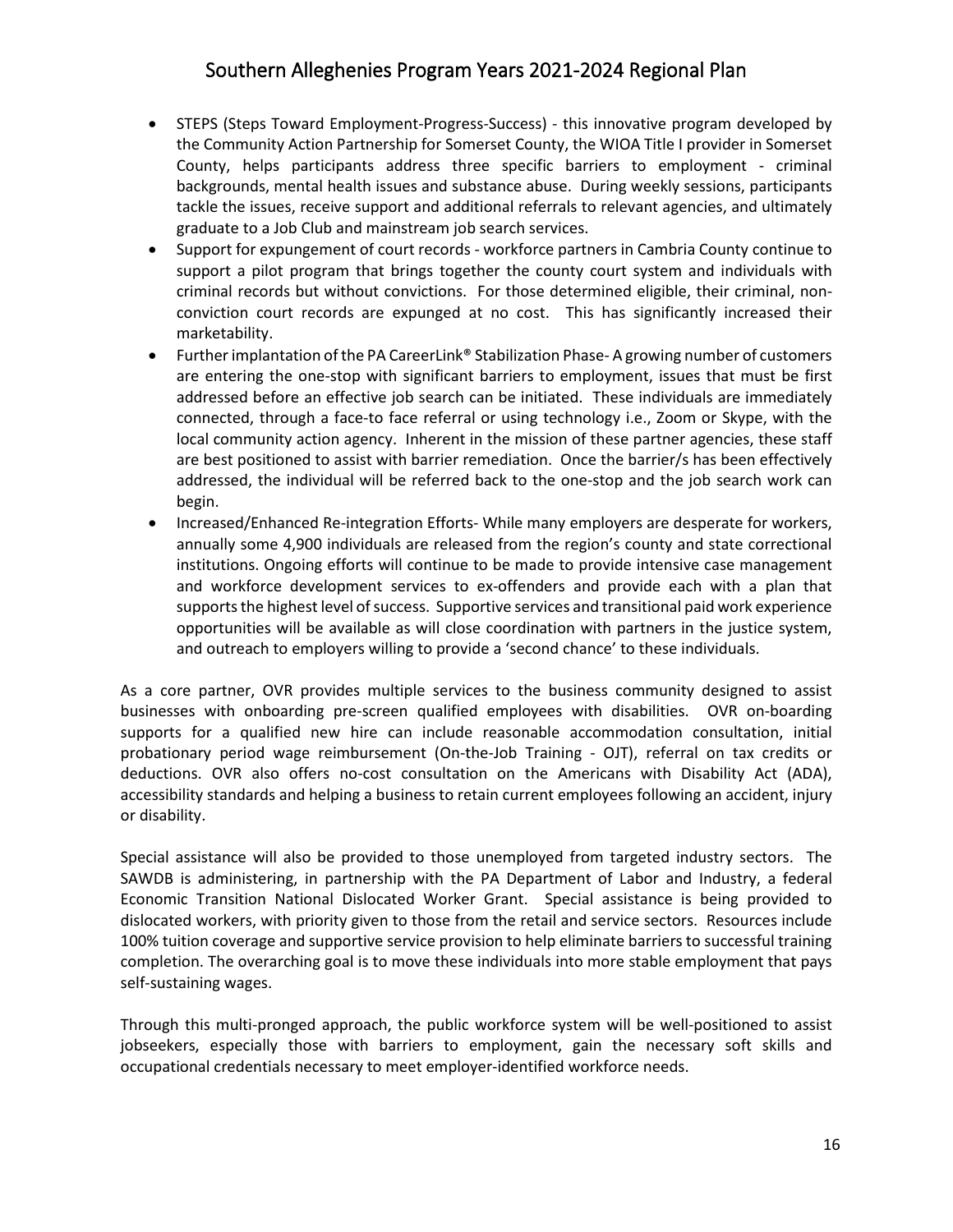- STEPS (Steps Toward Employment-Progress-Success) this innovative program developed by the Community Action Partnership for Somerset County, the WIOA Title I provider in Somerset County, helps participants address three specific barriers to employment - criminal backgrounds, mental health issues and substance abuse. During weekly sessions, participants tackle the issues, receive support and additional referrals to relevant agencies, and ultimately graduate to a Job Club and mainstream job search services.
- Support for expungement of court records workforce partners in Cambria County continue to support a pilot program that brings together the county court system and individuals with criminal records but without convictions. For those determined eligible, their criminal, nonconviction court records are expunged at no cost. This has significantly increased their marketability.
- Further implantation of the PA CareerLink® Stabilization Phase-A growing number of customers are entering the one-stop with significant barriers to employment, issues that must be first addressed before an effective job search can be initiated. These individuals are immediately connected, through a face-to face referral or using technology i.e., Zoom or Skype, with the local community action agency. Inherent in the mission of these partner agencies, these staff are best positioned to assist with barrier remediation. Once the barrier/s has been effectively addressed, the individual will be referred back to the one-stop and the job search work can begin.
- Increased/Enhanced Re-integration Efforts- While many employers are desperate for workers, annually some 4,900 individuals are released from the region's county and state correctional institutions. Ongoing efforts will continue to be made to provide intensive case management and workforce development services to ex-offenders and provide each with a plan that supports the highest level of success. Supportive services and transitional paid work experience opportunities will be available as will close coordination with partners in the justice system, and outreach to employers willing to provide a 'second chance' to these individuals.

As a core partner, OVR provides multiple services to the business community designed to assist businesses with onboarding pre-screen qualified employees with disabilities. OVR on-boarding supports for a qualified new hire can include reasonable accommodation consultation, initial probationary period wage reimbursement (On-the-Job Training - OJT), referral on tax credits or deductions. OVR also offers no-cost consultation on the Americans with Disability Act (ADA), accessibility standards and helping a business to retain current employees following an accident, injury or disability.

Special assistance will also be provided to those unemployed from targeted industry sectors. The SAWDB is administering, in partnership with the PA Department of Labor and Industry, a federal Economic Transition National Dislocated Worker Grant. Special assistance is being provided to dislocated workers, with priority given to those from the retail and service sectors. Resources include 100% tuition coverage and supportive service provision to help eliminate barriers to successful training completion. The overarching goal is to move these individuals into more stable employment that pays self-sustaining wages.

Through this multi-pronged approach, the public workforce system will be well-positioned to assist jobseekers, especially those with barriers to employment, gain the necessary soft skills and occupational credentials necessary to meet employer-identified workforce needs.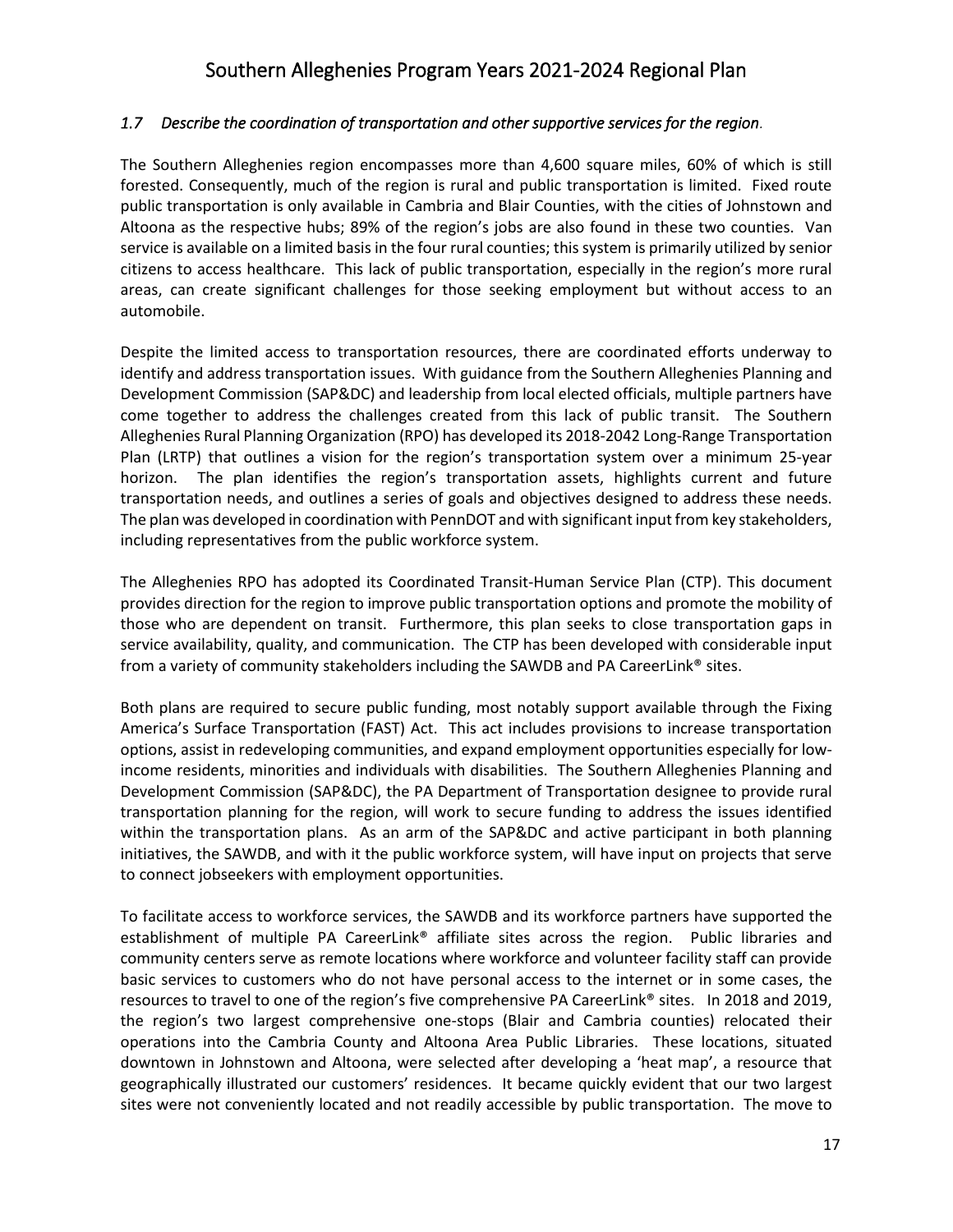#### *1.7 Describe the coordination of transportation and other supportive services for the region.*

The Southern Alleghenies region encompasses more than 4,600 square miles, 60% of which is still forested. Consequently, much of the region is rural and public transportation is limited. Fixed route public transportation is only available in Cambria and Blair Counties, with the cities of Johnstown and Altoona as the respective hubs; 89% of the region's jobs are also found in these two counties. Van service is available on a limited basis in the four rural counties; this system is primarily utilized by senior citizens to access healthcare. This lack of public transportation, especially in the region's more rural areas, can create significant challenges for those seeking employment but without access to an automobile.

Despite the limited access to transportation resources, there are coordinated efforts underway to identify and address transportation issues. With guidance from the Southern Alleghenies Planning and Development Commission (SAP&DC) and leadership from local elected officials, multiple partners have come together to address the challenges created from this lack of public transit. The Southern Alleghenies Rural Planning Organization (RPO) has developed its 2018-2042 Long-Range Transportation Plan (LRTP) that outlines a vision for the region's transportation system over a minimum 25-year horizon. The plan identifies the region's transportation assets, highlights current and future transportation needs, and outlines a series of goals and objectives designed to address these needs. The plan was developed in coordination with PennDOT and with significantinput from key stakeholders, including representatives from the public workforce system.

The Alleghenies RPO has adopted its Coordinated Transit-Human Service Plan (CTP). This document provides direction for the region to improve public transportation options and promote the mobility of those who are dependent on transit. Furthermore, this plan seeks to close transportation gaps in service availability, quality, and communication. The CTP has been developed with considerable input from a variety of community stakeholders including the SAWDB and PA CareerLink® sites.

Both plans are required to secure public funding, most notably support available through the Fixing America's Surface Transportation (FAST) Act. This act includes provisions to increase transportation options, assist in redeveloping communities, and expand employment opportunities especially for lowincome residents, minorities and individuals with disabilities. The Southern Alleghenies Planning and Development Commission (SAP&DC), the PA Department of Transportation designee to provide rural transportation planning for the region, will work to secure funding to address the issues identified within the transportation plans. As an arm of the SAP&DC and active participant in both planning initiatives, the SAWDB, and with it the public workforce system, will have input on projects that serve to connect jobseekers with employment opportunities.

To facilitate access to workforce services, the SAWDB and its workforce partners have supported the establishment of multiple PA CareerLink® affiliate sites across the region. Public libraries and community centers serve as remote locations where workforce and volunteer facility staff can provide basic services to customers who do not have personal access to the internet or in some cases, the resources to travel to one of the region's five comprehensive PA CareerLink® sites. In 2018 and 2019, the region's two largest comprehensive one-stops (Blair and Cambria counties) relocated their operations into the Cambria County and Altoona Area Public Libraries. These locations, situated downtown in Johnstown and Altoona, were selected after developing a 'heat map', a resource that geographically illustrated our customers' residences. It became quickly evident that our two largest sites were not conveniently located and not readily accessible by public transportation. The move to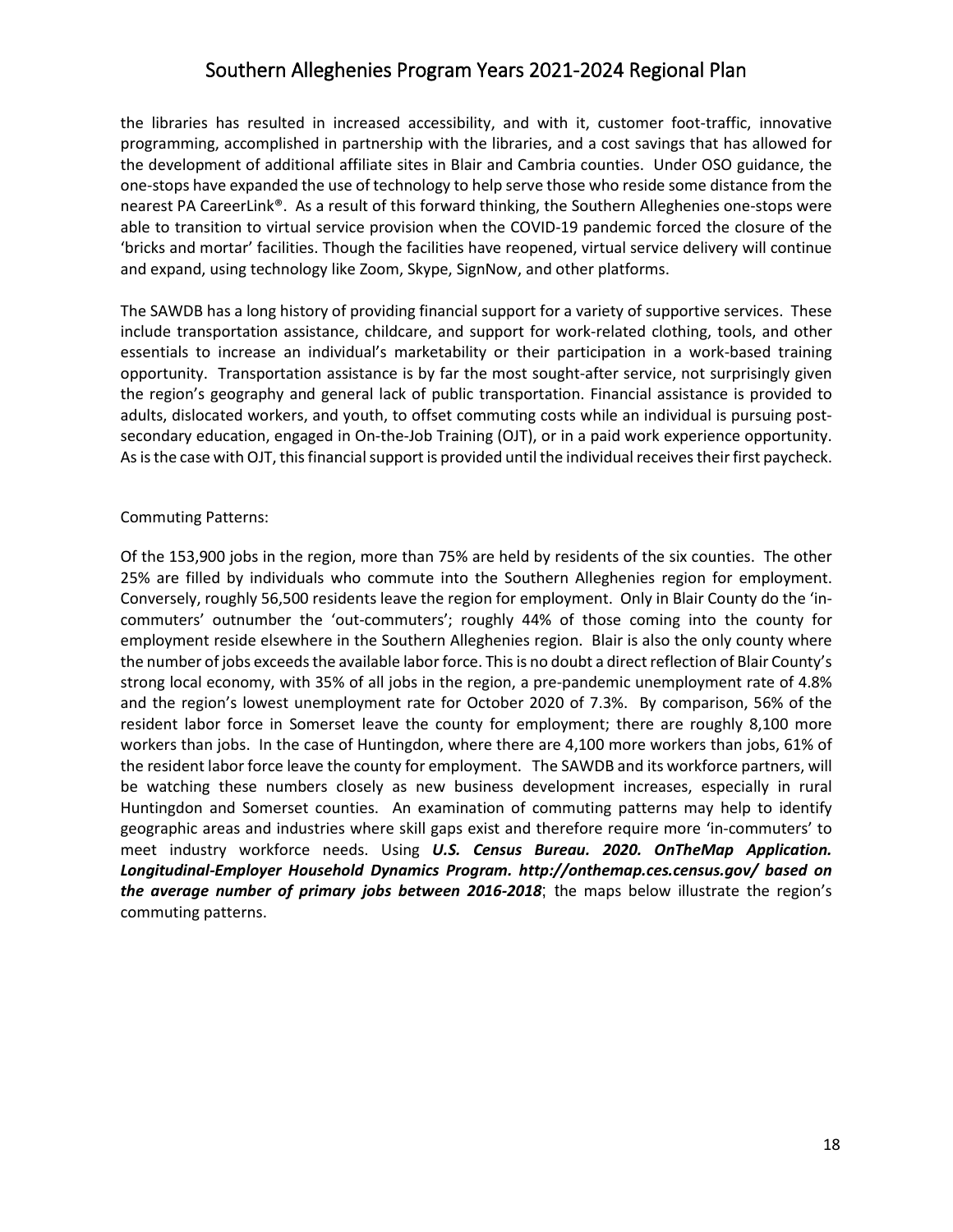the libraries has resulted in increased accessibility, and with it, customer foot-traffic, innovative programming, accomplished in partnership with the libraries, and a cost savings that has allowed for the development of additional affiliate sites in Blair and Cambria counties. Under OSO guidance, the one-stops have expanded the use of technology to help serve those who reside some distance from the nearest PA CareerLink®. As a result of this forward thinking, the Southern Alleghenies one-stops were able to transition to virtual service provision when the COVID-19 pandemic forced the closure of the 'bricks and mortar' facilities. Though the facilities have reopened, virtual service delivery will continue and expand, using technology like Zoom, Skype, SignNow, and other platforms.

The SAWDB has a long history of providing financial support for a variety of supportive services. These include transportation assistance, childcare, and support for work-related clothing, tools, and other essentials to increase an individual's marketability or their participation in a work-based training opportunity. Transportation assistance is by far the most sought-after service, not surprisingly given the region's geography and general lack of public transportation. Financial assistance is provided to adults, dislocated workers, and youth, to offset commuting costs while an individual is pursuing postsecondary education, engaged in On-the-Job Training (OJT), or in a paid work experience opportunity. As is the case with OJT, this financial support is provided until the individual receives their first paycheck.

#### Commuting Patterns:

Of the 153,900 jobs in the region, more than 75% are held by residents of the six counties. The other 25% are filled by individuals who commute into the Southern Alleghenies region for employment. Conversely, roughly 56,500 residents leave the region for employment. Only in Blair County do the 'incommuters' outnumber the 'out-commuters'; roughly 44% of those coming into the county for employment reside elsewhere in the Southern Alleghenies region. Blair is also the only county where the number of jobs exceeds the available labor force. This is no doubt a direct reflection of Blair County's strong local economy, with 35% of all jobs in the region, a pre-pandemic unemployment rate of 4.8% and the region's lowest unemployment rate for October 2020 of 7.3%. By comparison, 56% of the resident labor force in Somerset leave the county for employment; there are roughly 8,100 more workers than jobs. In the case of Huntingdon, where there are 4,100 more workers than jobs, 61% of the resident labor force leave the county for employment. The SAWDB and its workforce partners, will be watching these numbers closely as new business development increases, especially in rural Huntingdon and Somerset counties. An examination of commuting patterns may help to identify geographic areas and industries where skill gaps exist and therefore require more 'in-commuters' to meet industry workforce needs. Using *U.S. Census Bureau. 2020. OnTheMap Application. Longitudinal-Employer Household Dynamics Program. http://onthemap.ces.census.gov/ based on the average number of primary jobs between 2016-2018*; the maps below illustrate the region's commuting patterns.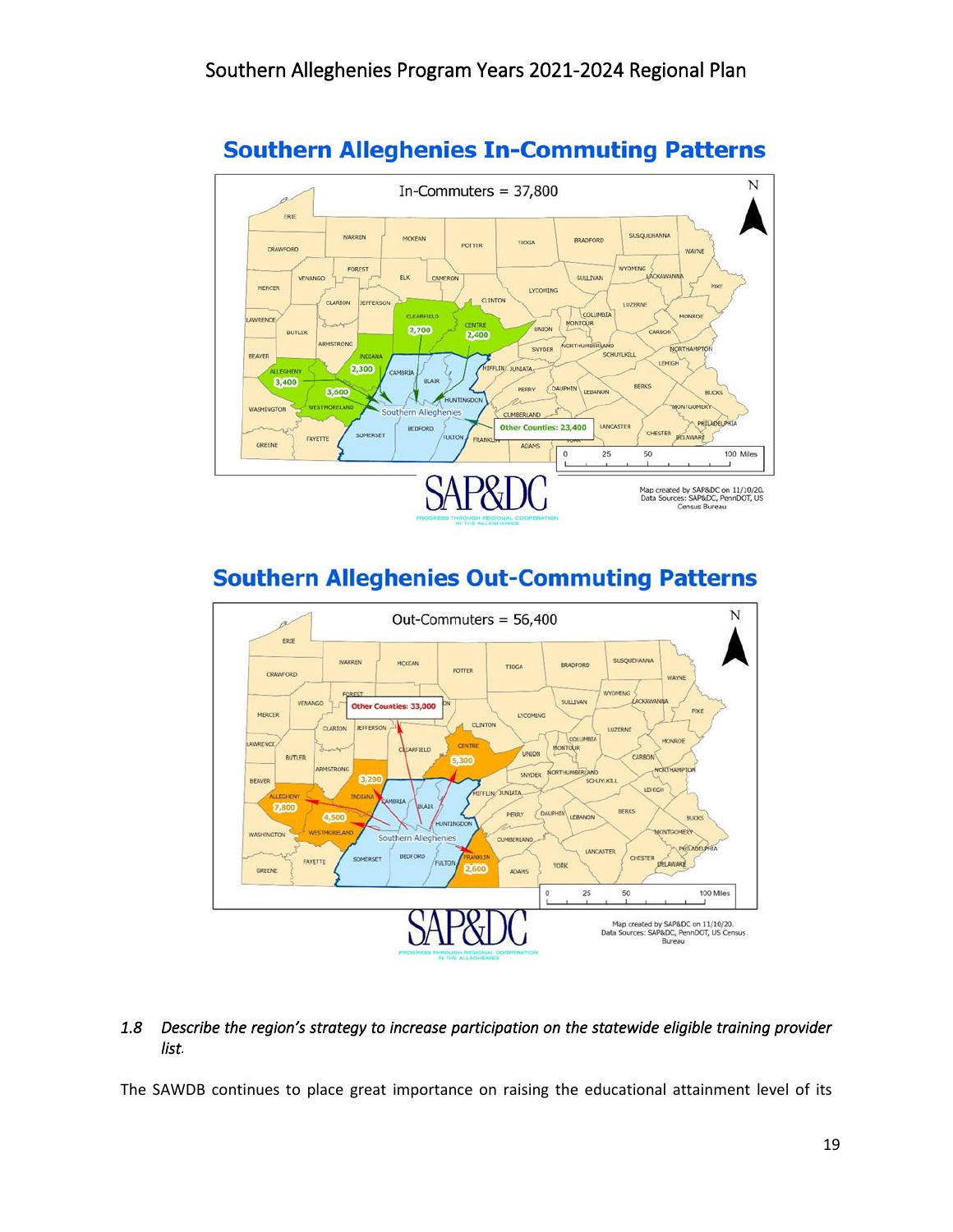

# **Southern Alleghenies In-Commuting Patterns**

# **Southern Alleghenies Out-Commuting Patterns**



## *1.8 Describe the region's strategy to increase participation on the statewide eligible training provider list.*

The SAWDB continues to place great importance on raising the educational attainment level of its